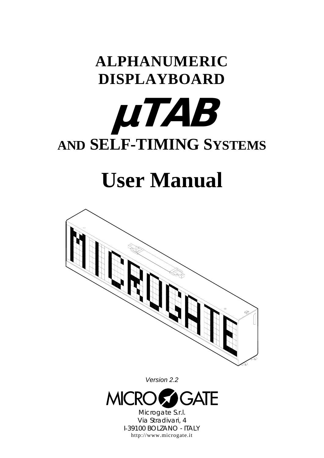## **ALPHANUMERIC DISPLAYBOARD**

## **µTAB AND SELF-TIMING SYSTEMS**

## **User Manual**



*Version 2.2* 



Microgate S.r.l. Via Stradivari, 4 I-39100 BOLZANO - ITALY http://www.microgate.it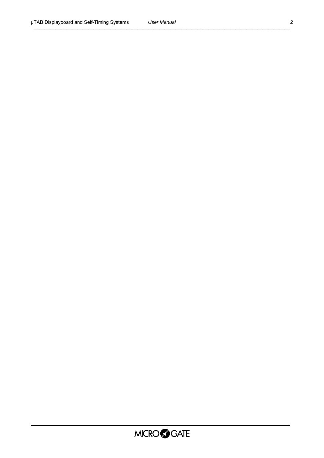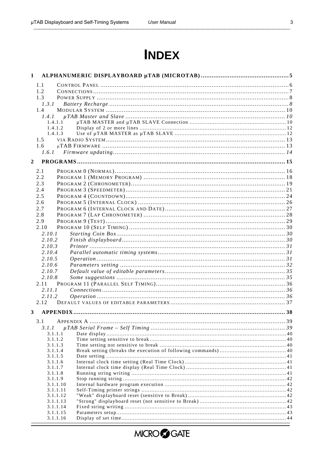## **INDEX**

| 1              |                    |          |    |
|----------------|--------------------|----------|----|
|                | 1.1                |          |    |
|                | 1.2                |          |    |
|                | 1.3                |          |    |
|                | 1, 3, 1            |          |    |
|                | 1.4                |          |    |
|                | 1.4.1              |          |    |
|                |                    | 1.4.1.1  |    |
|                | 1.4.1.2            |          |    |
|                | 1.4.1.3            |          |    |
|                | $1.5 -$            |          |    |
|                | 1.6                |          |    |
|                | 1.6.1              |          |    |
|                |                    |          |    |
| $\overline{2}$ |                    |          |    |
|                | 2.1                |          |    |
|                | 2.2                |          |    |
|                | 2.3                |          |    |
|                | 2.4                |          |    |
|                | 2.5                |          |    |
|                | 2.6                |          |    |
|                | 2.7                |          |    |
|                | 2.8                |          |    |
|                | 2.9                |          |    |
|                | 2.10               |          |    |
|                | 2.10.1             |          |    |
|                | 2.10.2             |          |    |
|                | 2.10.3             |          |    |
|                | 2.10.4             |          |    |
|                | 2.10.5             |          |    |
|                | 2.10.6             |          |    |
|                | 2.10.7             |          |    |
|                | 2.10.8             |          |    |
|                | 2.11               |          |    |
|                | 2.11.1             |          |    |
|                |                    |          |    |
|                | 2.11.2             |          |    |
|                | 2.12               |          |    |
|                | 3 APPENDIX         |          | 38 |
|                | 3.1                |          |    |
|                | 3.1.1              |          |    |
|                | 3.1.1.1            |          |    |
|                | 3.1.1.2            |          |    |
|                | 3.1.1.3            |          |    |
|                | 3.1.1.4            |          |    |
|                | 3.1.1.5            |          |    |
|                | 3.1.1.6            |          |    |
|                | 3.1.1.7<br>3.1.1.8 |          |    |
|                | 3.1.1.9            |          |    |
|                |                    | 3.1.1.10 |    |
|                |                    | 3.1.1.11 |    |
|                |                    | 3.1.1.12 |    |
|                |                    | 3.1.1.13 |    |
|                |                    | 3.1.1.14 |    |
|                |                    | 3.1.1.15 |    |
|                |                    | 3.1.1.16 |    |

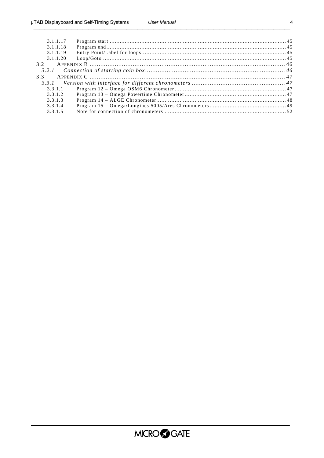| 3.1.1.17 |  |
|----------|--|
| 3.1.1.18 |  |
| 3.1.1.19 |  |
| 3.1.1.20 |  |
| 32       |  |
|          |  |
| 33       |  |
| 331      |  |
| 3.3.1.1  |  |
| 3.3.1.2  |  |
| 3.3.1.3  |  |
| 3.3.1.4  |  |
| 3.3.1.5  |  |

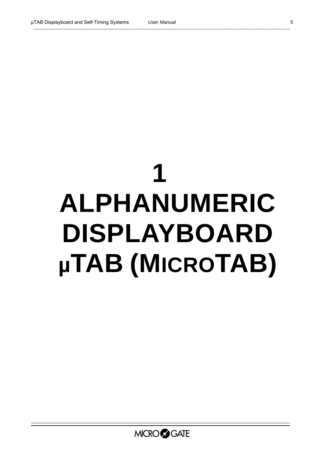# <span id="page-4-0"></span>**1 ALPHANUMERIC DISPLAYBOARD µTAB (MICROTAB)**

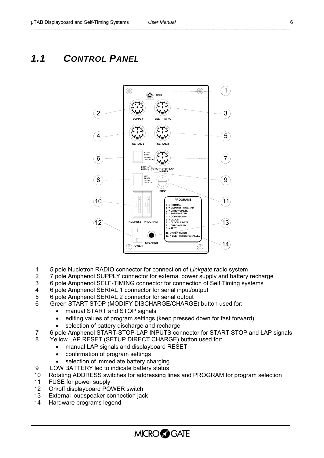## <span id="page-5-0"></span>*1.1 CONTROL PANEL*



- 1 5 pole Nucletron RADIO connector for connection of *Linkgate* radio system
- 2 7 pole Amphenol SUPPLY connector for external power supply and battery recharge
- 3 6 pole Amphenol SELF-TIMING connector for connection of Self Timing systems
- 4 6 pole Amphenol SERIAL 1 connector for serial input/output
- 5 6 pole Amphenol SERIAL 2 connector for serial output
- 6 Green START STOP (MODIFY DISCHARGE/CHARGE) button used for:
	- manual START and STOP signals
	- editing values of program settings (keep pressed down for fast forward)
	- selection of battery discharge and recharge
- 7 6 pole Amphenol START-STOP-LAP INPUTS connector for START STOP and LAP signals
- 8 Yellow LAP RESET (SETUP DIRECT CHARGE) button used for:
	- manual LAP signals and displayboard RESET
	- confirmation of program settings
	- selection of immediate battery charging
- 9 LOW BATTERY led to indicate battery status
- 10 Rotating ADDRESS switches for addressing lines and PROGRAM for program selection
- 11 FUSE for power supply
- 12 On/off displayboard POWER switch
- 13 External loudspeaker connection jack<br>14 Hardware programs legend
- Hardware programs legend

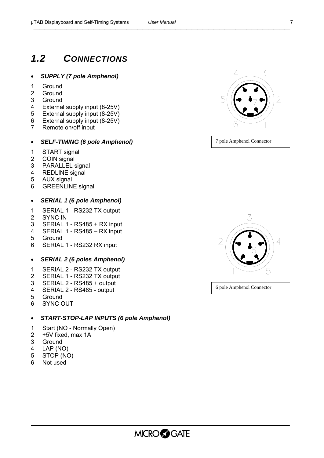## <span id="page-6-0"></span>*1.2 CONNECTIONS*

#### • *SUPPLY (7 pole Amphenol)*

- 1 Ground
- 2 Ground
- 3 Ground
- 4 External supply input (8-25V)
- 5 External supply input (8-25V)
- 6 External supply input (8-25V)
- 7 Remote on/off input

#### • *SELF-TIMING (6 pole Amphenol)*

- 1 START signal
- 2 COIN signal
- 3 PARALLEL signal
- 4 REDLINE signal
- 5 AUX signal
- 6 GREENLINE signal

#### • *SERIAL 1 (6 pole Amphenol)*

- 1 SERIAL 1 RS232 TX output
- 2 SYNC IN
- 3 SERIAL 1 RS485 + RX input
- 4 SERIAL 1 RS485 RX input
- 5 Ground
- 6 SERIAL 1 RS232 RX input

#### • *SERIAL 2 (6 poles Amphenol)*

- 1 SERIAL 2 RS232 TX output
- 2 SERIAL 1 RS232 TX output
- 3 SERIAL 2 RS485 + output
- 4 SERIAL 2 RS485 output
- 5 Ground
- 6 SYNC OUT

#### • *START-STOP-LAP INPUTS (6 pole Amphenol)*

- 1 Start (NO Normally Open)
- 2 +5V fixed, max 1A
- 3 Ground
- 4 LAP (NO)
- 5 STOP (NO)
- 6 Not used



7 pole Amphenol Connector



6 pole Amphenol Connector

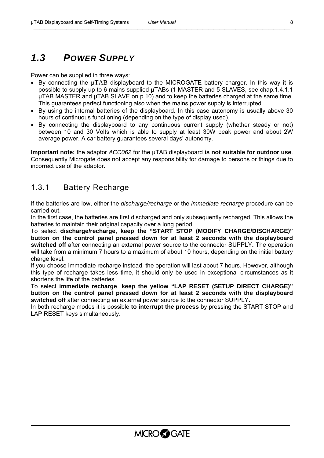## <span id="page-7-0"></span>*1.3 POWER SUPPLY*

Power can be supplied in three ways:

- By connecting the µTAB displayboard to the MICROGATE battery charger. In this way it is possible to supply up to 6 mains supplied µTABs (1 MASTER and 5 SLAVES, see chap.[1.4.1.1](#page-9-1) [µTAB MASTER and µTAB SLAVE](#page-9-1) on p.[10\)](#page-9-1) and to keep the batteries charged at the same time. This guarantees perfect functioning also when the mains power supply is interrupted.
- By using the internal batteries of the displayboard. In this case autonomy is usually above 30 hours of continuous functioning (depending on the type of display used).
- By connecting the displayboard to any continuous current supply (whether steady or not) between 10 and 30 Volts which is able to supply at least 30W peak power and about 2W average power. A car battery guarantees several days' autonomy.

**Important note:** the adaptor *ACC062* for the µTAB displayboard **is not suitable for outdoor use**. Consequently Microgate does not accept any responsibility for damage to persons or things due to incorrect use of the adaptor.

#### 1.3.1 Battery Recharge

If the batteries are low, either the *discharge/recharge* or the *immediate recharge* procedure can be carried out.

In the first case, the batteries are first discharged and only subsequently recharged. This allows the batteries to maintain their original capacity over a long period.

To select **discharge/recharge, keep the "START STOP (MODIFY CHARGE/DISCHARGE)" button on the control panel pressed down for at least 2 seconds with the displayboard switched off** after connecting an external power source to the connector SUPPLY**.** The operation will take from a minimum 7 hours to a maximum of about 10 hours, depending on the initial battery charge level.

If you choose immediate recharge instead, the operation will last about 7 hours. However, although this type of recharge takes less time, it should only be used in exceptional circumstances as it shortens the life of the batteries.

To select **immediate recharge**, **keep the yellow "LAP RESET (SETUP DIRECT CHARGE)" button on the control panel pressed down for at least 2 seconds with the displayboard switched off** after connecting an external power source to the connector SUPPLY**.**

In both recharge modes it is possible **to interrupt the process** by pressing the START STOP and LAP RESET keys simultaneously.

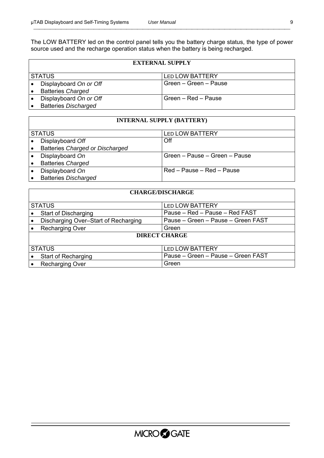$\overline{\phantom{a}}$ 

The LOW BATTERY led on the control panel tells you the battery charge status, the type of power source used and the recharge operation status when the battery is being recharged.

| <b>EXTERNAL SUPPLY</b> |                             |                        |
|------------------------|-----------------------------|------------------------|
| <b>STATUS</b>          |                             | <b>LED LOW BATTERY</b> |
|                        | Displayboard On or Off      | Green – Green – Pause  |
|                        | <b>Batteries Charged</b>    |                        |
|                        | Displayboard On or Off      | Green – Red – Pause    |
|                        | <b>Batteries Discharged</b> |                        |

| <b>INTERNAL SUPPLY (BATTERY)</b>                    |                               |  |
|-----------------------------------------------------|-------------------------------|--|
| STATUS                                              | <b>LED LOW BATTERY</b>        |  |
| Displayboard Off<br>$\bullet$                       | Off                           |  |
| <b>Batteries Charged or Discharged</b><br>$\bullet$ |                               |  |
| Displayboard On<br>$\bullet$                        | Green - Pause - Green - Pause |  |
| <b>Batteries Charged</b><br>∣ ●                     |                               |  |
| Displayboard On<br>$\bullet$                        | Red – Pause – Red – Pause     |  |
| <b>Batteries Discharged</b><br>$\bullet$            |                               |  |

| <b>CHARGE/DISCHARGE</b>                           |                                    |  |  |
|---------------------------------------------------|------------------------------------|--|--|
| <b>STATUS</b>                                     | <b>LED LOW BATTERY</b>             |  |  |
| <b>Start of Discharging</b>                       | Pause - Red - Pause - Red FAST     |  |  |
| Discharging Over-Start of Recharging<br>$\bullet$ | Pause – Green – Pause – Green FAST |  |  |
| <b>Recharging Over</b>                            | Green                              |  |  |
| <b>DIRECT CHARGE</b>                              |                                    |  |  |
|                                                   |                                    |  |  |
| <b>STATUS</b>                                     | <b>LED LOW BATTERY</b>             |  |  |
| <b>Start of Recharging</b>                        | Pause - Green - Pause - Green FAST |  |  |
| <b>Recharging Over</b>                            | Green                              |  |  |

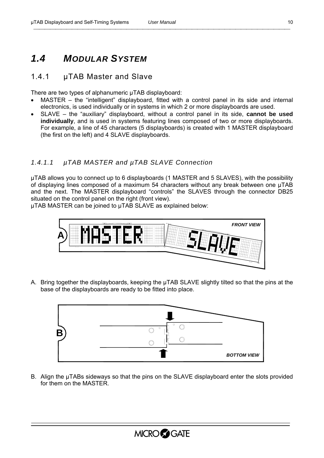## <span id="page-9-0"></span>*1.4 MODULAR SYSTEM*

#### 1.4.1 µTAB Master and Slave

There are two types of alphanumeric  $\mu$ TAB displayboard:

- MASTER the "intelligent" displayboard, fitted with a control panel in its side and internal electronics, is used individually or in systems in which 2 or more displayboards are used.
- SLAVE the "auxiliary" displayboard, without a control panel in its side, **cannot be used individually**, and is used in systems featuring lines composed of two or more displayboards. For example, a line of 45 characters (5 displayboards) is created with 1 MASTER displayboard (the first on the left) and 4 SLAVE displayboards.

#### <span id="page-9-1"></span>*1.4.1.1 µTAB MASTER and µTAB SLAVE Connection*

µTAB allows you to connect up to 6 displayboards (1 MASTER and 5 SLAVES), with the possibility of displaying lines composed of a maximum 54 characters without any break between one µTAB and the next. The MASTER displayboard "controls" the SLAVES through the connector DB25 situated on the control panel on the right (front view).

µTAB MASTER can be joined to µTAB SLAVE as explained below:



A. Bring together the displayboards, keeping the  $\mu$ TAB SLAVE slightly tilted so that the pins at the base of the displayboards are ready to be fitted into place.



B. Align the µTABs sideways so that the pins on the SLAVE displayboard enter the slots provided for them on the MASTER.

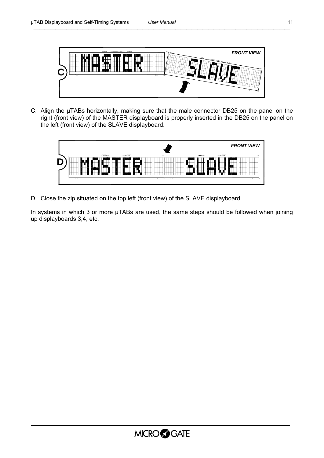

C. Align the µTABs horizontally, making sure that the male connector DB25 on the panel on the right (front view) of the MASTER displayboard is properly inserted in the DB25 on the panel on the left (front view) of the SLAVE displayboard.



D. Close the zip situated on the top left (front view) of the SLAVE displayboard.

In systems in which 3 or more µTABs are used, the same steps should be followed when joining up displayboards 3,4, etc.

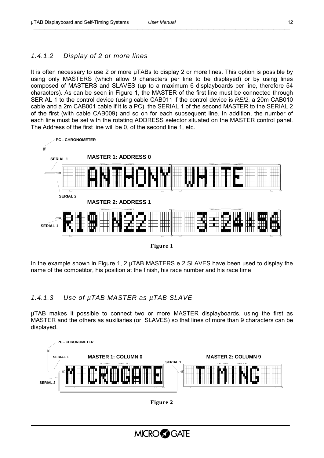#### *1.4.1.2 Display of 2 or more lines*

It is often necessary to use 2 or more µTABs to display 2 or more lines. This option is possible by using only MASTERS (which allow 9 characters per line to be displayed) or by using lines composed of MASTERS and SLAVES (up to a maximum 6 displayboards per line, therefore 54 characters). As can be seen in Figure 1, the MASTER of the first line must be connected through SERIAL 1 to the control device (using cable CAB011 if the control device is *REI2*, a 20m CAB010 cable and a 2m CAB001 cable if it is a PC), the SERIAL 1 of the second MASTER to the SERIAL 2 of the first (with cable CAB009) and so on for each subsequent line. In addition, the number of each line must be set with the rotating ADDRESS selector situated on the MASTER control panel. The Address of the first line will be 0, of the second line 1, etc.

<span id="page-11-0"></span>⎯⎯⎯⎯⎯⎯⎯⎯⎯⎯⎯⎯⎯⎯⎯⎯⎯⎯⎯⎯⎯⎯⎯⎯⎯⎯⎯⎯⎯⎯⎯⎯⎯⎯⎯⎯⎯⎯⎯⎯⎯⎯⎯⎯⎯⎯⎯



**Figure 1** 

In the example shown in Figure 1, 2 µTAB MASTERS e 2 SLAVES have been used to display the name of the competitor, his position at the finish, his race number and his race time

#### *1.4.1.3 Use of µTAB MASTER as µTAB SLAVE*

µTAB makes it possible to connect two or more MASTER displayboards, using the first as MASTER and the others as auxiliaries (or SLAVES) so that lines of more than 9 characters can be displayed.

<span id="page-11-1"></span>

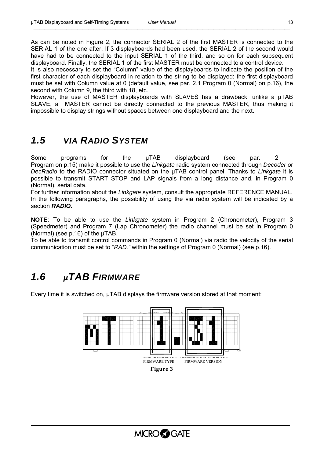As can be noted in [Figure 2](#page-11-1), the connector SERIAL 2 of the first MASTER is connected to the SERIAL 1 of the one after. If 3 displayboards had been used, the SERIAL 2 of the second would have had to be connected to the input SERIAL 1 of the third, and so on for each subsequent displayboard. Finally, the SERIAL 1 of the first MASTER must be connected to a control device.

It is also necessary to set the "Column" value of the displayboards to indicate the position of the first character of each displayboard in relation to the string to be displayed: the first displayboard must be set with Column value at 0 (default value, see par. [2.1](#page-15-1) [Program 0 \(Normal\)](#page-15-1) on p.[16\)](#page-15-1), the second with Column 9, the third with 18, etc.

However, the use of MASTER displayboards with SLAVES has a drawback: unlike a  $\mu$ TAB SLAVE, a MASTER cannot be directly connected to the previous MASTER, thus making it impossible to display strings without spaces between one displayboard and the next.

## *1.5 VIA RADIO SYSTEM*

Some programs for the µTAB displayboard (see par. [2](#page-14-1) [Program](#page-14-1) on p.[15\)](#page-14-1) make it possible to use the *Linkgate* radio system connected through *Decoder* or *DecRadio* to the RADIO connector situated on the µTAB control panel. Thanks to *Linkgate* it is possible to transmit START STOP and LAP signals from a long distance and, in [Program 0](#page-15-1)  [\(Normal\)](#page-15-1), serial data.

For further information about the *Linkgate* system, consult the appropriate REFERENCE MANUAL. In the following paragraphs, the possibility of using the via radio system will be indicated by a section *RADIO.* 

**NOTE**: To be able to use the *Linkgate* system in [Program 2 \(Chronometer\)](#page-18-1), [Program 3](#page-20-1)  [\(Speedmeter\)](#page-20-1) and [Program 7 \(Lap Chronometer\)](#page-27-1) the radio channel must be set in [Program 0](#page-15-1)  [\(Normal\)](#page-15-1) (see p[.16](#page-15-1)) of the µTAB.

To be able to transmit control commands in [Program 0 \(Normal\)](#page-15-1) via radio the velocity of the serial communication must be set to "*RAD."* within the settings of [Program 0 \(Normal\)](#page-15-1) (see p[.16](#page-15-1)).

## *1.6 µTAB FIRMWARE*

<span id="page-12-1"></span>Every time it is switched on, µTAB displays the firmware version stored at that moment:



<span id="page-12-0"></span>

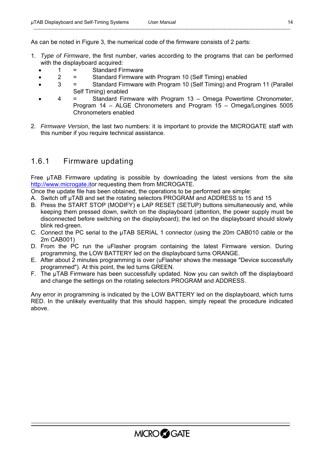As can be noted in [Figure 3](#page-12-1), the numerical code of the firmware consists of 2 parts:

1. *Type of Firmware*, the first number, varies according to the programs that can be performed with the displayboard acquired:

<span id="page-13-0"></span>⎯⎯⎯⎯⎯⎯⎯⎯⎯⎯⎯⎯⎯⎯⎯⎯⎯⎯⎯⎯⎯⎯⎯⎯⎯⎯⎯⎯⎯⎯⎯⎯⎯⎯⎯⎯⎯⎯⎯⎯⎯⎯⎯⎯⎯⎯⎯

- 1 = Standard Firmware
- 2 = Standard Firmware with [Program 10 \(Self Timing\)](#page-29-1) enabled
- 3 = Standard Firmware with [Program 10 \(Self Timing\)](#page-29-1) and [Program 11 \(Parallel](#page-35-1)  [Self Timing\)](#page-35-1) enabled
- 4 = Standard Firmware with [Program 13 Omega Powertime](#page-46-1) Chronometer, [Program 14 – ALGE](#page-47-1) Chronometers and [Program 15 – Omega/Longines 5005](#page-48-1) Chronometers enabled
- 2. *Firmware Version*, the last two numbers: it is important to provide the MICROGATE staff with this number if you require technical assistance.

#### 1.6.1 Firmware updating

Free µTAB Firmware updating is possible by downloading the latest versions from the site [http://www.microgate.it](http://www.microgate.it/)or requesting them from MICROGATE.

Once the update file has been obtained, the operations to be performed are simple:

- A. Switch off µTAB and set the rotating selectors PROGRAM and ADDRESS to 15 and 15
- B. Press the START STOP (MODIFY) e LAP RESET (SETUP) buttons simultaneously and, while keeping them pressed down, switch on the displayboard (attention, the power supply must be disconnected before switching on the displayboard); the led on the displayboard should slowly blink red-green.
- C. Connect the PC serial to the µTAB SERIAL 1 connector (using the 20m CAB010 cable or the 2m CAB001)
- D. From the PC run the uFlasher program containing the latest Firmware version. During programming, the LOW BATTERY led on the displayboard turns ORANGE.
- E. After about 2 minutes programming is over (uFlasher shows the message "Device successfully programmed"). At this point, the led turns GREEN.
- F. The µTAB Firmware has been successfully updated. Now you can switch off the displayboard and change the settings on the rotating selectors PROGRAM and ADDRESS.

Any error in programming is indicated by the LOW BATTERY led on the displayboard, which turns RED. In the unlikely eventuality that this should happen, simply repeat the procedure indicated above.

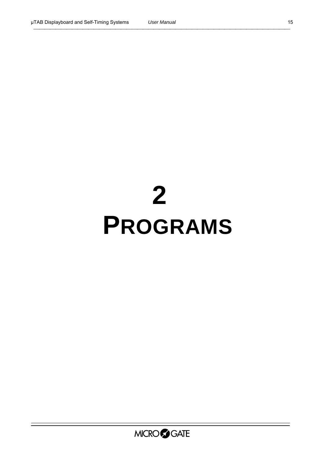## <span id="page-14-1"></span><span id="page-14-0"></span>**2 PROGRAMS**

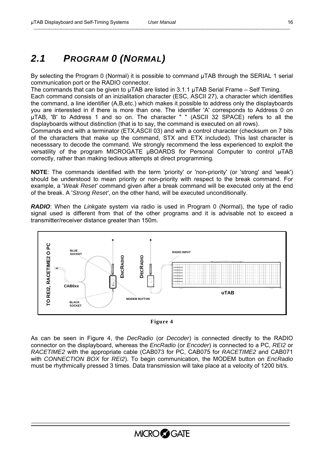## <span id="page-15-1"></span><span id="page-15-0"></span>*2.1 PROGRAM 0 (NORMAL)*

By selecting the [Program 0 \(Normal\)](#page-15-1) it is possible to command µTAB through the SERIAL 1 serial communication port or the RADIO connector.

The commands that can be given to µTAB are listed in [3.1.1](#page-38-1) [µTAB Serial Frame – Self Timing](#page-38-1).

Each command consists of an inizialitation character (ESC, ASCII 27), a character which identifies the command, a line identifier (A,B,etc.) which makes it possible to address only the displayboards you are interested in if there is more than one. The identifier 'A' corresponds to Address 0 on µTAB, 'B' to Address 1 and so on. The character " " (ASCII 32 SPACE) refers to all the displayboards without distinction (that is to say, the command is executed on all rows).

Commands end with a terminator (ETX,ASCII 03) and with a control character (checksum on 7 bits of the characters that make up the command, STX and ETX included). This last character is necesssary to decode the command. We strongly recommend the less experienced to exploit the versatility of the program MICROGATE µBOARDS for Personal Computer to control µTAB correctly, rather than making tedious attempts at direct programming.

**NOTE**: The commands identified with the term 'priority' or 'non-priority' (or 'strong' and 'weak') should be understood to mean priority or non-priority with respect to the break command. For example, a '*Weak Reset'* command given after a break command will be executed only at the end of the break. A '*Strong Reset'*, on the other hand, will be executed unconditionally.

*RADIO*: When the *Linkgate* system via radio is used in [Program 0 \(Normal\),](#page-15-1) the type of radio signal used is different from that of the other programs and it is advisable not to exceed a transmitter/receiver distance greater than 150m.



**Figure 4** 

<span id="page-15-2"></span>As can be seen in [Figure 4](#page-15-2), the *DecRadio* (or *Decoder*) is connected directly to the RADIO connector on the displayboard, whereas the *EncRadio* (or *Encoder*) is connected to a PC, *REI2* or *RACETIME2* with the appropriate cable (CAB073 for PC, CAB075 for *RACETIME2* and CAB071 with *CONNECTION BOX* for *REI2*). To begin communication, the MODEM button on *EncRadio* must be rhythmically pressed 3 times. Data transmission will take place at a velocity of 1200 bit/s.

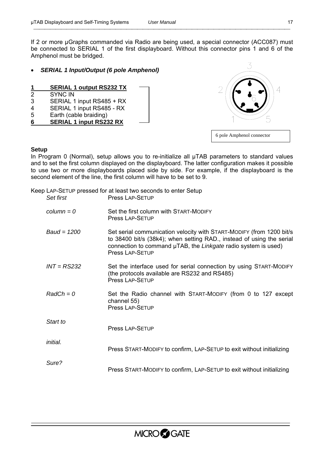If 2 or more µGraphs commanded via Radio are being used, a special connector (ACC087) must be connected to SERIAL 1 of the first displayboard. Without this connector pins 1 and 6 of the Amphenol must be bridged.

⎯⎯⎯⎯⎯⎯⎯⎯⎯⎯⎯⎯⎯⎯⎯⎯⎯⎯⎯⎯⎯⎯⎯⎯⎯⎯⎯⎯⎯⎯⎯⎯⎯⎯⎯⎯⎯⎯⎯⎯⎯⎯⎯⎯⎯⎯⎯

#### • *SERIAL 1 Input/Output (6 pole Amphenol)*

|               | <b>SERIAL 1 output RS232 TX</b> |
|---------------|---------------------------------|
| $\mathcal{P}$ | <b>SYNC IN</b>                  |
| 3             | SERIAL 1 input RS485 + RX       |
| 4             | SERIAL 1 input RS485 - RX       |
| 5             | Earth (cable braiding)          |
| 6             | <b>SERIAL 1 input RS232 RX</b>  |



#### **Setup**

In [Program 0 \(Normal\),](#page-15-1) setup allows you to re-initialize all µTAB parameters to standard values and to set the first column displayed on the displayboard. The latter configuration makes it possible to use two or more displayboards placed side by side. For example, if the displayboard is the second element of the line, the first column will have to be set to 9.

| Set first           | Keep LAP-SETUP pressed for at least two seconds to enter Setup<br><b>Press LAP-SETUP</b>                                                                                                                                                  |
|---------------------|-------------------------------------------------------------------------------------------------------------------------------------------------------------------------------------------------------------------------------------------|
| $\text{column} = 0$ | Set the first column with START-MODIFY<br><b>Press LAP-SETUP</b>                                                                                                                                                                          |
| $Baud = 1200$       | Set serial communication velocity with START-MODIFY (from 1200 bit/s<br>to 38400 bit/s (38k4); when setting RAD., instead of using the serial<br>connection to command µTAB, the Linkgate radio system is used)<br><b>Press LAP-SETUP</b> |
| $INT = RS232$       | Set the interface used for serial connection by using START-MODIFY<br>(the protocols available are RS232 and RS485)<br><b>Press LAP-SETUP</b>                                                                                             |
| $RadCh = 0$         | Set the Radio channel with START-MODIFY (from 0 to 127 except<br>channel 55)<br><b>Press LAP-SETUP</b>                                                                                                                                    |
| Start to            | <b>Press LAP-SETUP</b>                                                                                                                                                                                                                    |
| <i>initial.</i>     | Press START-MODIFY to confirm, LAP-SETUP to exit without initializing                                                                                                                                                                     |
| Sure?               | Press START-MODIFY to confirm, LAP-SETUP to exit without initializing                                                                                                                                                                     |

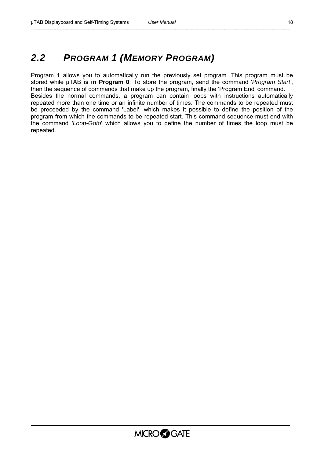## <span id="page-17-0"></span>*2.2 PROGRAM 1 (MEMORY PROGRAM)*

Program 1 allows you to automatically run the previously set program. This program must be stored while µTAB **is in Program 0**. To store the program, send the command '*Program Start'*, then the sequence of commands that make up the program, finally the 'Program End' command. Besides the normal commands, a program can contain loops with instructions automatically repeated more than one time or an infinite number of times. The commands to be repeated must be preceeded by the command 'Label', which makes it possible to define the position of the program from which the commands to be repeated start. This command sequence must end with the command *'Loop-Goto*' which allows you to define the number of times the loop must be repeated.

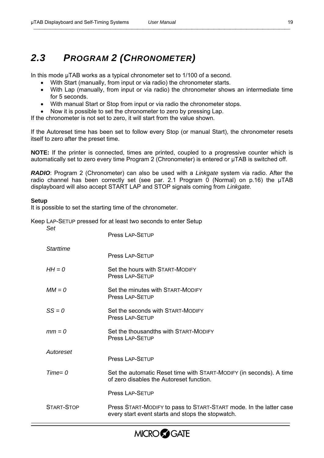## <span id="page-18-1"></span><span id="page-18-0"></span>*2.3 PROGRAM 2 (CHRONOMETER)*

In this mode µTAB works as a typical chronometer set to 1/100 of a second.

- With Start (manually, from input or via radio) the chronometer starts.
- With Lap (manually, from input or via radio) the chronometer shows an intermediate time for 5 seconds.
- With manual Start or Stop from input or via radio the chronometer stops.
- Now it is possible to set the chronometer to zero by pressing Lap.

If the chronometer is not set to zero, it will start from the value shown.

If the Autoreset time has been set to follow every Stop (or manual Start), the chronometer resets itself to zero after the preset time.

**NOTE:** If the printer is connected, times are printed, coupled to a progressive counter which is automatically set to zero every time Program 2 (Chronometer) is entered or µTAB is switched off.

*RADIO*: [Program 2 \(Chronometer\)](#page-18-1) can also be used with a *Linkgate* system via radio. After the radio channel has been correctly set (see par. [2.1](#page-15-1) [Program 0 \(Normal\)](#page-15-1) on  $p.16$ ) the  $\mu$ TAB displayboard will also accept START LAP and STOP signals coming from *Linkgate.*

#### **Setup**

It is possible to set the starting time of the chronometer.

Keep LAP-SETUP pressed for at least two seconds to enter Setup

Press LAP-SETUP

| Starttime         | <b>Press LAP-SETUP</b>                                                                                                  |
|-------------------|-------------------------------------------------------------------------------------------------------------------------|
|                   |                                                                                                                         |
| $HH = 0$          | Set the hours with START-MODIFY<br><b>Press LAP-SETUP</b>                                                               |
| $MM = 0$          | Set the minutes with START-MODIFY<br><b>Press LAP-SETUP</b>                                                             |
| $SS = 0$          | Set the seconds with START-MODIFY<br><b>Press LAP-SETUP</b>                                                             |
| $mm = 0$          | Set the thousandths with START-MODIFY<br><b>Press LAP-SETUP</b>                                                         |
| Autoreset         |                                                                                                                         |
|                   | <b>Press LAP-SETUP</b>                                                                                                  |
| $Time = 0$        | Set the automatic Reset time with START-MODIFY (in seconds). A time<br>of zero disables the Autoreset function.         |
|                   | <b>Press LAP-SETUP</b>                                                                                                  |
| <b>START-STOP</b> | Press START-MODIFY to pass to START-START mode. In the latter case<br>every start event starts and stops the stopwatch. |



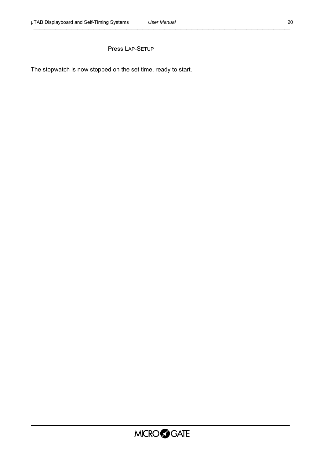#### Press LAP-SETUP

The stopwatch is now stopped on the set time, ready to start.

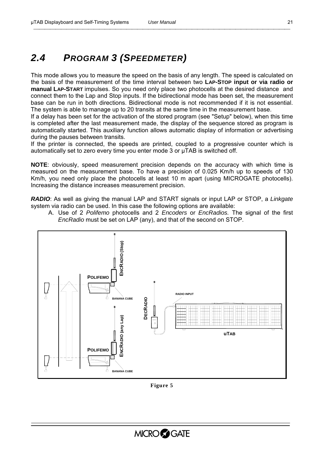## <span id="page-20-1"></span><span id="page-20-0"></span>*2.4 PROGRAM 3 (SPEEDMETER)*

This mode allows you to measure the speed on the basis of any length. The speed is calculated on the basis of the measurement of the time interval between two **LAP-STOP input or via radio or manual LAP-START** impulses. So you need only place two photocells at the desired distance and connect them to the Lap and Stop inputs. If the bidirectional mode has been set, the measurement base can be run in both directions. Bidirectional mode is not recommended if it is not essential. The system is able to manage up to 20 transits at the same time in the measurement base.

If a delay has been set for the activation of the stored program (see "Setup" below), when this time is completed after the last measurement made, the display of the sequence stored as program is automatically started. This auxiliary function allows automatic display of information or advertising during the pauses between transits.

If the printer is connected, the speeds are printed, coupled to a progressive counter which is automatically set to zero every time you enter mode 3 or µTAB is switched off.

**NOTE**: obviously, speed measurement precision depends on the accuracy with which time is measured on the measurement base. To have a precision of 0.025 Km/h up to speeds of 130 Km/h, you need only place the photocells at least 10 m apart (using MICROGATE photocells). Increasing the distance increases measurement precision.

*RADIO*: As well as giving the manual LAP and START signals or input LAP or STOP, a *Linkgate* system via radio can be used. In this case the following options are available:

A. Use of 2 *Polifemo* photocells and 2 *Encoders* or *EncRadios.* The signal of the first *EncRadio* must be set on LAP (any), and that of the second on STOP.



**Figure 5** 

<span id="page-20-2"></span>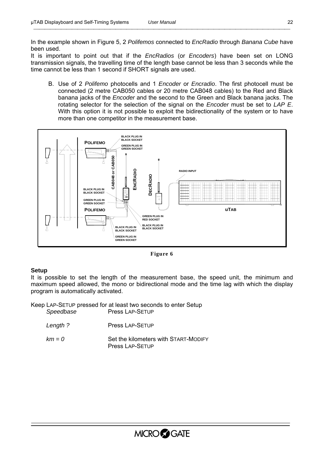In the example shown in [Figure 5](#page-20-2), 2 *Polifemos* connected to *EncRadio* through *Banana Cube* have been used.

It is important to point out that if the *EncRadios* (or *Encoders*) have been set on LONG transmission signals, the travelling time of the length base cannot be less than 3 seconds while the time cannot be less than 1 second if SHORT signals are used.

B. Use of 2 *Polifemo* photocells and 1 *Encoder* or *Encradio*. The first photocell must be connected (2 metre CAB050 cables or 20 metre CAB048 cables) to the Red and Black banana jacks of the *Encoder* and the second to the Green and Black banana jacks. The rotating selector for the selection of the signal on the *Encoder* must be set to *LAP E*. With this option it is not possible to exploit the bidirectionality of the system or to have more than one competitor in the measurement base.



**Figure 6** 

#### **Setup**

It is possible to set the length of the measurement base, the speed unit, the minimum and maximum speed allowed, the mono or bidirectional mode and the time lag with which the display program is automatically activated.

|           | Keep LAP-SETUP pressed for at least two seconds to enter Setup |
|-----------|----------------------------------------------------------------|
| Speedbase | <b>Press LAP-SETUP</b>                                         |

| Length?  | <b>Press LAP-SETUP</b>                                         |
|----------|----------------------------------------------------------------|
| $km = 0$ | Set the kilometers with START-MODIFY<br><b>Press LAP-SETUP</b> |

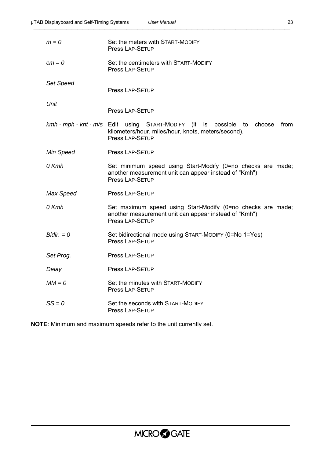| $m = 0$      | Set the meters with START-MODIFY<br><b>Press LAP-SETUP</b>                                                                                                |
|--------------|-----------------------------------------------------------------------------------------------------------------------------------------------------------|
| $cm = 0$     | Set the centimeters with START-MODIFY<br>Press LAP-SETUP                                                                                                  |
| Set Speed    | <b>Press LAP-SETUP</b>                                                                                                                                    |
| Unit         |                                                                                                                                                           |
|              | <b>Press LAP-SETUP</b>                                                                                                                                    |
|              | kmh - mph - knt - m/s Edit using START-MODIFY (it is possible to choose<br>from<br>kilometers/hour, miles/hour, knots, meters/second).<br>Press LAP-SETUP |
| Min Speed    | Press LAP-SETUP                                                                                                                                           |
| 0 Kmh        | Set minimum speed using Start-Modify (0=no checks are made;<br>another measurement unit can appear instead of "Kmh")<br><b>Press LAP-SETUP</b>            |
| Max Speed    | <b>Press LAP-SETUP</b>                                                                                                                                    |
| 0 Kmh        | Set maximum speed using Start-Modify (0=no checks are made;<br>another measurement unit can appear instead of "Kmh")<br><b>Press LAP-SETUP</b>            |
| $Bidir. = 0$ | Set bidirectional mode using START-MODIFY (0=No 1=Yes)<br><b>Press LAP-SETUP</b>                                                                          |
| Set Prog.    | Press LAP-SETUP                                                                                                                                           |
| Delay        | Press LAP-SETUP                                                                                                                                           |
| $MM = 0$     | Set the minutes with START-MODIFY<br>Press LAP-SETUP                                                                                                      |
| $SS = 0$     | Set the seconds with START-MODIFY<br><b>Press LAP-SETUP</b>                                                                                               |

**NOTE**: Minimum and maximum speeds refer to the unit currently set.

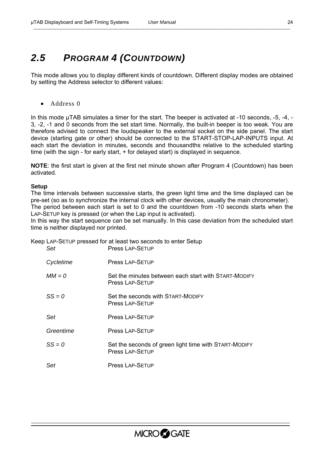## <span id="page-23-1"></span><span id="page-23-0"></span>*2.5 PROGRAM 4 (COUNTDOWN)*

This mode allows you to display different kinds of countdown. Different display modes are obtained by setting the Address selector to different values:

• Address 0

In this mode µTAB simulates a timer for the start. The beeper is activated at -10 seconds, -5, -4, - 3, -2, -1 and 0 seconds from the set start time. Normally, the built-in beeper is too weak. You are therefore advised to connect the loudspeaker to the external socket on the side panel. The start device (starting gate or other) should be connected to the START-STOP-LAP-INPUTS input. At each start the deviation in minutes, seconds and thousandths relative to the scheduled starting time (with the sign - for early start, + for delayed start) is displayed in sequence.

**NOTE**: the first start is given at the first net minute shown after Program 4 (Countdown) has been activated.

#### **Setup**

The time intervals between successive starts, the green light time and the time displayed can be pre-set (so as to synchronize the internal clock with other devices, usually the main chronometer).

The period between each start is set to 0 and the countdown from -10 seconds starts when the LAP-SETUP key is pressed (or when the Lap input is activated).

In this way the start sequence can be set manually. In this case deviation from the scheduled start time is neither displayed nor printed.

| Set       | Keep LAP-SETUP pressed for at least two seconds to enter Setup<br><b>Press LAP-SETUP</b> |  |
|-----------|------------------------------------------------------------------------------------------|--|
| Cycletime | <b>Press LAP-SETUP</b>                                                                   |  |
| $MM = 0$  | Set the minutes between each start with START-MODIFY<br><b>Press LAP-SETUP</b>           |  |
| $SS = 0$  | Set the seconds with START-MODIFY<br><b>Press LAP-SETUP</b>                              |  |
| Set       | <b>Press LAP-SETUP</b>                                                                   |  |
| Greentime | <b>Press LAP-SETUP</b>                                                                   |  |
| $SS = 0$  | Set the seconds of green light time with START-MODIFY<br><b>Press LAP-SETUP</b>          |  |
| Set       | <b>Press LAP-SETUP</b>                                                                   |  |

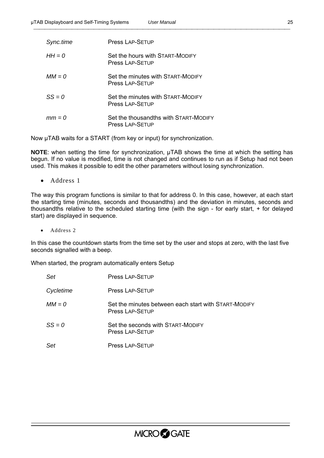| Sync.time | <b>Press LAP-SETUP</b>                                          |
|-----------|-----------------------------------------------------------------|
| $HH = 0$  | Set the hours with START-MODIFY<br><b>Press LAP-SETUP</b>       |
| $MM = 0$  | Set the minutes with START-MODIFY<br><b>Press LAP-SETUP</b>     |
| $SS = 0$  | Set the minutes with START-MODIFY<br><b>Press LAP-SETUP</b>     |
| $mm = 0$  | Set the thousandths with START-MODIFY<br><b>Press LAP-SETUP</b> |

Now µTAB waits for a START (from key or input) for synchronization.

**NOTE**: when setting the time for synchronization, µTAB shows the time at which the setting has begun. If no value is modified, time is not changed and continues to run as if Setup had not been used. This makes it possible to edit the other parameters without losing synchronization.

⎯⎯⎯⎯⎯⎯⎯⎯⎯⎯⎯⎯⎯⎯⎯⎯⎯⎯⎯⎯⎯⎯⎯⎯⎯⎯⎯⎯⎯⎯⎯⎯⎯⎯⎯⎯⎯⎯⎯⎯⎯⎯⎯⎯⎯⎯⎯

• Address 1

The way this program functions is similar to that for address 0. In this case, however, at each start the starting time (minutes, seconds and thousandths) and the deviation in minutes, seconds and thousandths relative to the scheduled starting time (with the sign - for early start, + for delayed start) are displayed in sequence.

• Address 2

In this case the countdown starts from the time set by the user and stops at zero, with the last five seconds signalled with a beep.

When started, the program automatically enters Setup

| Set       | <b>Press LAP-SETUP</b>                                                         |
|-----------|--------------------------------------------------------------------------------|
| Cycletime | <b>Press LAP-SETUP</b>                                                         |
| $MM = Q$  | Set the minutes between each start with START-MODIFY<br><b>Press LAP-SETUP</b> |
| $SS = 0$  | Set the seconds with START-MODIFY<br><b>Press LAP-SETUP</b>                    |
| Set       | <b>Press LAP-SETUP</b>                                                         |

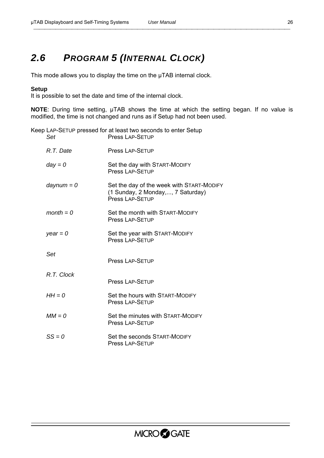## <span id="page-25-0"></span>*2.6 PROGRAM 5 (INTERNAL CLOCK)*

This mode allows you to display the time on the µTAB internal clock.

#### **Setup**

It is possible to set the date and time of the internal clock.

**NOTE**: During time setting, µTAB shows the time at which the setting began. If no value is modified, the time is not changed and runs as if Setup had not been used.

Keep LAP-SETUP pressed for at least two seconds to enter Setup **Set** Press LAP-SETUP

| R.T. Date    | <b>Press LAP-SETUP</b>                                                                                   |  |
|--------------|----------------------------------------------------------------------------------------------------------|--|
| $day = 0$    | Set the day with START-MODIFY<br><b>Press LAP-SETUP</b>                                                  |  |
| $daynum = 0$ | Set the day of the week with START-MODIFY<br>(1 Sunday, 2 Monday,, 7 Saturday)<br><b>Press LAP-SETUP</b> |  |
| $month = 0$  | Set the month with START-MODIFY<br><b>Press LAP-SETUP</b>                                                |  |
| $year = 0$   | Set the year with START-MODIFY<br><b>Press LAP-SETUP</b>                                                 |  |
| Set          | <b>Press LAP-SETUP</b>                                                                                   |  |
| R.T. Clock   | <b>Press LAP-SETUP</b>                                                                                   |  |
| $HH = 0$     | Set the hours with START-MODIFY<br><b>Press LAP-SETUP</b>                                                |  |
| $MM = 0$     | Set the minutes with START-MODIFY<br><b>Press LAP-SETUP</b>                                              |  |
| $SS = 0$     | Set the seconds START-MODIFY<br><b>Press LAP-SETUP</b>                                                   |  |

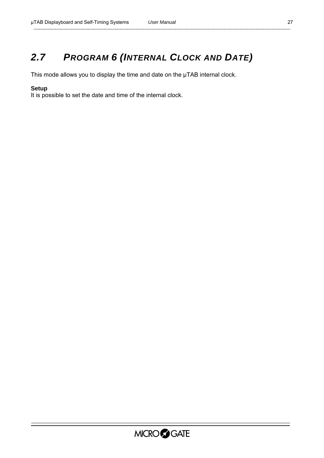## <span id="page-26-0"></span>*2.7 PROGRAM 6 (INTERNAL CLOCK AND DATE)*

This mode allows you to display the time and date on the µTAB internal clock.

#### **Setup**

It is possible to set the date and time of the internal clock.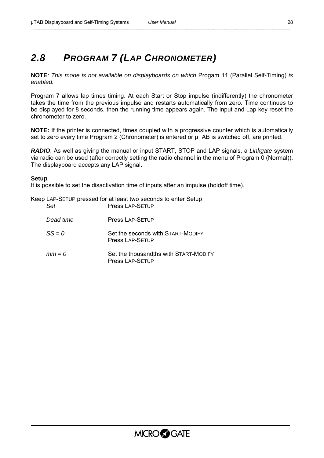## <span id="page-27-1"></span><span id="page-27-0"></span>*2.8 PROGRAM 7 (LAP CHRONOMETER)*

**NOTE***: This mode is not available on displayboards on which* Progam 11 (Parallel Self-Timing) *is enabled.* 

Program 7 allows lap times timing. At each Start or Stop impulse (indifferently) the chronometer takes the time from the previous impulse and restarts automatically from zero. Time continues to be displayed for 8 seconds, then the running time appears again. The input and Lap key reset the chronometer to zero.

**NOTE:** If the printer is connected, times coupled with a progressive counter which is automatically set to zero every time Program 2 (Chronometer) is entered or μTAB is switched off, are printed.

*RADIO*: As well as giving the manual or input START, STOP and LAP signals, a *Linkgate* system via radio can be used (after correctly setting the radio channel in the menu of Program 0 (Normal)). The displayboard accepts any LAP signal.

#### **Setup**

It is possible to set the disactivation time of inputs after an impulse (holdoff time).

| Set       | Keep LAP-SETUP pressed for at least two seconds to enter Setup<br><b>Press LAP-SETUP</b> |  |
|-----------|------------------------------------------------------------------------------------------|--|
| Dead time | <b>Press LAP-SETUP</b>                                                                   |  |
| $SS = 0$  | Set the seconds with START-MODIFY<br><b>Press LAP-SETUP</b>                              |  |
| $mm = 0$  | Set the thousandths with START-MODIFY<br><b>Press LAP-SETUP</b>                          |  |

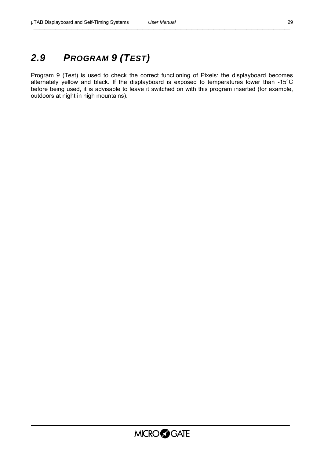## <span id="page-28-1"></span><span id="page-28-0"></span>*2.9 PROGRAM 9 (TEST)*

[Program 9 \(Test\)](#page-28-1) is used to check the correct functioning of Pixels: the displayboard becomes alternately yellow and black. If the displayboard is exposed to temperatures lower than -15°C before being used, it is advisable to leave it switched on with this program inserted (for example, outdoors at night in high mountains).

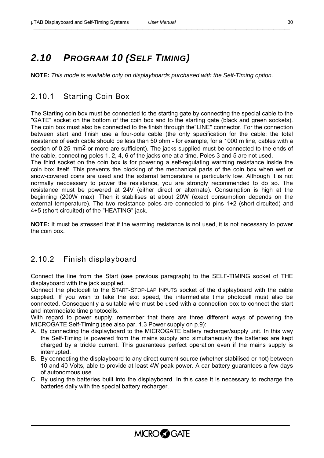## <span id="page-29-1"></span><span id="page-29-0"></span>*2.10 PROGRAM 10 (SELF TIMING)*

**NOTE:** *This mode is available only on displayboards purchased with the Self-Timing option.* 

#### 2.10.1 Starting Coin Box

The Starting coin box must be connected to the starting gate by connecting the special cable to the "GATE" socket on the bottom of the coin box and to the starting gate (black and green sockets). The coin box must also be connected to the finish through the"LINE" connector. For the connection between start and finish use a four-pole cable (the only specification for the cable: the total resistance of each cable should be less than 50 ohm - for example, for a 1000 m line, cables with a section of 0.25 mm2 or more are sufficient). The jacks supplied must be connected to the ends of the cable, connecting poles 1, 2, 4, 6 of the jacks one at a time. Poles 3 and 5 are not used. The third socket on the coin box is for powering a self-regulating warming resistance inside the coin box itself. This prevents the blocking of the mechanical parts of the coin box when wet or snow-covered coins are used and the external temperature is particularly low. Although it is not normally neccessary to power the resistance, you are strongly recommended to do so. The resistance must be powered at 24V (either direct or alternate). Consumption is high at the beginning (200W max). Then it stabilises at about 20W (exact consumption depends on the external temperature). The two resistance poles are connected to pins 1+2 (short-circuited) and 4+5 (short-circuited) of the "HEATING" jack.

**NOTE:** It must be stressed that if the warming resistance is not used, it is not necessary to power the coin box.

#### 2.10.2 Finish displayboard

Connect the line from the Start (see previous paragraph) to the SELF-TIMING socket of THE displayboard with the jack supplied.

Connect the photocell to the START-STOP-LAP INPUTS socket of the displayboard with the cable supplied. If you wish to take the exit speed, the intermediate time photocell must also be connected. Consequently a suitable wire must be used with a connection box to connect the start and intermediate time photocells.

With regard to power supply, remember that there are three different ways of powering the MICROGATE Self-Timing (see also par. 1.3 Power supply on p.9):

- A. By connecting the displayboard to the MICROGATE battery recharger/supply unit. In this way the Self-Timing is powered from the mains supply and simultaneously the batteries are kept charged by a trickle current. This guarantees perfect operation even if the mains supply is interrupted.
- B. By connecting the displayboard to any direct current source (whether stabilised or not) between 10 and 40 Volts, able to provide at least 4W peak power. A car battery guarantees a few days of autonomous use.
- C. By using the batteries built into the displayboard. In this case it is necessary to recharge the batteries daily with the special battery recharger.

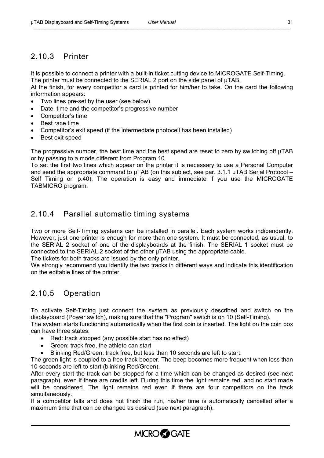#### <span id="page-30-0"></span>2.10.3 Printer

It is possible to connect a printer with a built-in ticket cutting device to MICROGATE Self-Timing. The printer must be connected to the SERIAL 2 port on the side panel of  $\mu$ TAB.

At the finish, for every competitor a card is printed for him/her to take. On the card the following information appears:

- Two lines pre-set by the user (see below)
- Date, time and the competitor's progressive number
- Competitor's time
- Best race time
- Competitor's exit speed (if the intermediate photocell has been installed)
- Best exit speed

The progressive number, the best time and the best speed are reset to zero by switching off  $\mu$ TAB or by passing to a mode different from Program 10.

To set the first two lines which appear on the printer it is necessary to use a Personal Computer and send the appropriate command to µTAB (on this subject, see par. 3.1.1 µTAB Serial Protocol – Self Timing on p.40). The operation is easy and immediate if you use the MICROGATE TABMICRO program.

#### 2.10.4 Parallel automatic timing systems

Two or more Self-Timing systems can be installed in parallel. Each system works indipendently. However, just one printer is enough for more than one system. It must be connected, as usual, to the SERIAL 2 socket of one of the displayboards at the finish. The SERIAL 1 socket must be connected to the SERIAL 2 socket of the other  $\mu$ TAB using the appropriate cable.

The tickets for both tracks are issued by the only printer.

We strongly recommend you identify the two tracks in different ways and indicate this identification on the editable lines of the printer.

#### 2.10.5 Operation

To activate Self-Timing just connect the system as previously described and switch on the displayboard (Power switch), making sure that the "Program" switch is on 10 (Self-Timing).

The system starts functioning automatically when the first coin is inserted. The light on the coin box can have three states:

- Red: track stopped (any possible start has no effect)
- Green: track free, the athlete can start
- Blinking Red/Green: track free, but less than 10 seconds are left to start.

The green light is coupled to a free track beeper. The beep becomes more frequent when less than 10 seconds are left to start (blinking Red/Green).

After every start the track can be stopped for a time which can be changed as desired (see next paragraph), even if there are credits left. During this time the light remains red, and no start made will be considered. The light remains red even if there are four competitors on the track simultaneously.

If a competitor falls and does not finish the run, his/her time is automatically cancelled after a maximum time that can be changed as desired (see next paragraph).

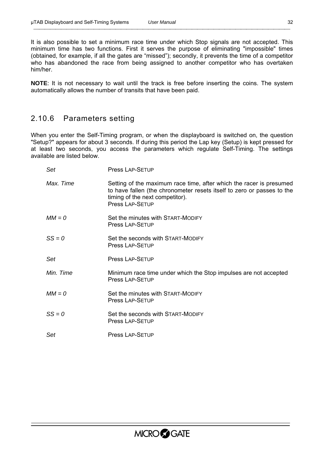<span id="page-31-0"></span>It is also possible to set a minimum race time under which Stop signals are not accepted. This minimum time has two functions. First it serves the purpose of eliminating "impossible" times (obtained, for example, if all the gates are "missed"); secondly, it prevents the time of a competitor who has abandoned the race from being assigned to another competitor who has overtaken him/her.

**NOTE**: It is not necessary to wait until the track is free before inserting the coins. The system automatically allows the number of transits that have been paid.

#### 2.10.6 Parameters setting

When you enter the Self-Timing program, or when the displayboard is switched on, the question "Setup?" appears for about 3 seconds. If during this period the Lap key (Setup) is kept pressed for at least two seconds, you access the parameters which regulate Self-Timing. The settings available are listed below.

| Set       | <b>Press LAP-SETUP</b>                                                                                                                                                                                     |
|-----------|------------------------------------------------------------------------------------------------------------------------------------------------------------------------------------------------------------|
| Max. Time | Setting of the maximum race time, after which the racer is presumed<br>to have fallen (the chronometer resets itself to zero or passes to the<br>timing of the next competitor).<br><b>Press LAP-SETUP</b> |
| $MM = 0$  | Set the minutes with START-MODIFY<br><b>Press LAP-SETUP</b>                                                                                                                                                |
| $SS = 0$  | Set the seconds with START-MODIFY<br><b>Press LAP-SETUP</b>                                                                                                                                                |
| Set       | Press LAP-SETUP                                                                                                                                                                                            |
| Min. Time | Minimum race time under which the Stop impulses are not accepted<br><b>Press LAP-SETUP</b>                                                                                                                 |
| $MM = 0$  | Set the minutes with START-MODIFY<br><b>Press LAP-SETUP</b>                                                                                                                                                |
| $SS = 0$  | Set the seconds with START-MODIFY<br><b>Press LAP-SETUP</b>                                                                                                                                                |
| Set       | <b>Press LAP-SETUP</b>                                                                                                                                                                                     |

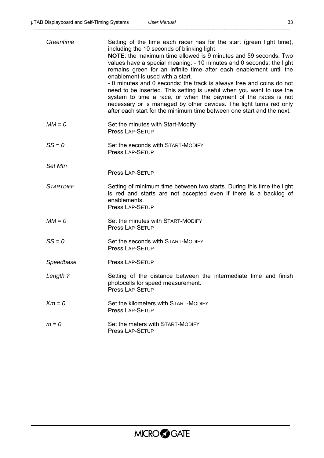| Greentime        | Setting of the time each racer has for the start (green light time),<br>including the 10 seconds of blinking light.<br><b>NOTE:</b> the maximum time allowed is 9 minutes and 59 seconds. Two<br>values have a special meaning: - 10 minutes and 0 seconds: the light<br>remains green for an infinite time after each enablement until the<br>enablement is used with a start.<br>- 0 minutes and 0 seconds: the track is always free and coins do not<br>need to be inserted. This setting is useful when you want to use the<br>system to time a race, or when the payment of the races is not<br>necessary or is managed by other devices. The light turns red only<br>after each start for the minimum time between one start and the next. |
|------------------|--------------------------------------------------------------------------------------------------------------------------------------------------------------------------------------------------------------------------------------------------------------------------------------------------------------------------------------------------------------------------------------------------------------------------------------------------------------------------------------------------------------------------------------------------------------------------------------------------------------------------------------------------------------------------------------------------------------------------------------------------|
| $MM = 0$         | Set the minutes with Start-Modify<br><b>Press LAP-SETUP</b>                                                                                                                                                                                                                                                                                                                                                                                                                                                                                                                                                                                                                                                                                      |
| $SS = 0$         | Set the seconds with START-MODIFY<br><b>Press LAP-SETUP</b>                                                                                                                                                                                                                                                                                                                                                                                                                                                                                                                                                                                                                                                                                      |
| Set MIn          | <b>Press LAP-SETUP</b>                                                                                                                                                                                                                                                                                                                                                                                                                                                                                                                                                                                                                                                                                                                           |
| <b>STARTDIFF</b> | Setting of minimum time between two starts. During this time the light<br>is red and starts are not accepted even if there is a backlog of<br>enablements.<br><b>Press LAP-SETUP</b>                                                                                                                                                                                                                                                                                                                                                                                                                                                                                                                                                             |
| $MM = 0$         | Set the minutes with START-MODIFY<br><b>Press LAP-SETUP</b>                                                                                                                                                                                                                                                                                                                                                                                                                                                                                                                                                                                                                                                                                      |
| $SS = 0$         | Set the seconds with START-MODIFY<br><b>Press LAP-SETUP</b>                                                                                                                                                                                                                                                                                                                                                                                                                                                                                                                                                                                                                                                                                      |
| Speedbase        | <b>Press LAP-SETUP</b>                                                                                                                                                                                                                                                                                                                                                                                                                                                                                                                                                                                                                                                                                                                           |
| Length?          | Setting of the distance between the intermediate time and finish<br>photocells for speed measurement.<br><b>Press LAP-SETUP</b>                                                                                                                                                                                                                                                                                                                                                                                                                                                                                                                                                                                                                  |
| $Km = 0$         | Set the kilometers with START-MODIFY<br><b>Press LAP-SETUP</b>                                                                                                                                                                                                                                                                                                                                                                                                                                                                                                                                                                                                                                                                                   |
| $m = 0$          | Set the meters with START-MODIFY<br>Press LAP-SETUP                                                                                                                                                                                                                                                                                                                                                                                                                                                                                                                                                                                                                                                                                              |



Ξ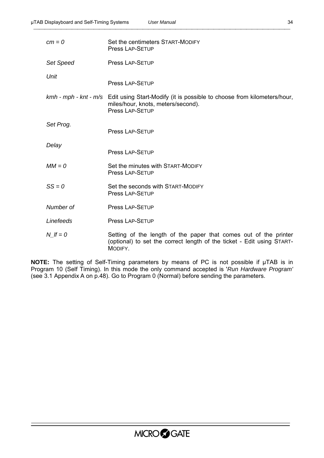| $cm = 0$  | Set the centimeters START-MODIFY<br><b>Press LAP-SETUP</b>                                                                                             |  |  |
|-----------|--------------------------------------------------------------------------------------------------------------------------------------------------------|--|--|
| Set Speed | <b>Press LAP-SETUP</b>                                                                                                                                 |  |  |
| Unit      | <b>Press LAP-SETUP</b>                                                                                                                                 |  |  |
|           | kmh - mph - knt - m/s Edit using Start-Modify (it is possible to choose from kilometers/hour,<br>miles/hour, knots, meters/second).<br>Press LAP-SETUP |  |  |
| Set Prog. | <b>Press LAP-SETUP</b>                                                                                                                                 |  |  |
| Delay     | <b>Press LAP-SETUP</b>                                                                                                                                 |  |  |
| $MM = 0$  | Set the minutes with START-MODIFY<br><b>Press LAP-SETUP</b>                                                                                            |  |  |
| $SS = 0$  | Set the seconds with START-MODIFY<br><b>Press LAP-SETUP</b>                                                                                            |  |  |
| Number of | <b>Press LAP-SETUP</b>                                                                                                                                 |  |  |
| Linefeeds | <b>Press LAP-SETUP</b>                                                                                                                                 |  |  |
| $N_f = 0$ | Setting of the length of the paper that comes out of the printer<br>(optional) to set the correct length of the ticket - Edit using START-<br>MODIFY.  |  |  |

**NOTE:** The setting of Self-Timing parameters by means of PC is not possible if µTAB is in Program 10 (Self Timing). In this mode the only command accepted is '*Run Hardware Program'*  (see 3.1 Appendix A on p.48). Go to Program 0 (Normal) before sending the parameters.

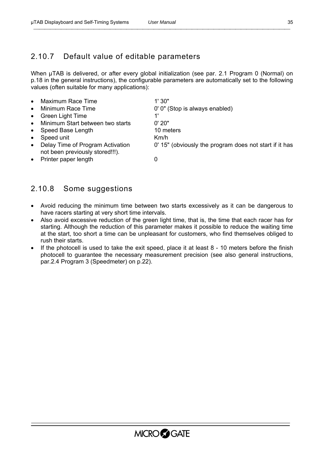#### <span id="page-34-0"></span>2.10.7 Default value of editable parameters

When µTAB is delivered, or after every global initialization (see par. 2.1 [Program 0 \(Normal\)](#page-15-1) on p.18 in the general instructions), the configurable parameters are automatically set to the following values (often suitable for many applications):

| $\bullet$ | Maximum Race Time                  | 1'30"                                                  |
|-----------|------------------------------------|--------------------------------------------------------|
| $\bullet$ | Minimum Race Time                  | 0' 0" (Stop is always enabled)                         |
| $\bullet$ | Green Light Time                   | 1'                                                     |
|           | • Minimum Start between two starts | 0'20"                                                  |
| $\bullet$ | Speed Base Length                  | 10 meters                                              |
| $\bullet$ | Speed unit                         | Km/h                                                   |
| $\bullet$ | Delay Time of Program Activation   | 0' 15" (obviously the program does not start if it has |
|           | not been previously stored!!!).    |                                                        |
|           | • Printer paper length             |                                                        |

#### 2.10.8 Some suggestions

- Avoid reducing the minimum time between two starts excessively as it can be dangerous to have racers starting at very short time intervals.
- Also avoid excessive reduction of the green light time, that is, the time that each racer has for starting. Although the reduction of this parameter makes it possible to reduce the waiting time at the start, too short a time can be unpleasant for customers, who find themselves obliged to rush their starts.
- If the photocell is used to take the exit speed, place it at least 8 10 meters before the finish photocell to guarantee the necessary measurement precision (see also general instructions, par.2.4 Program 3 (Speedmeter) on p.22).

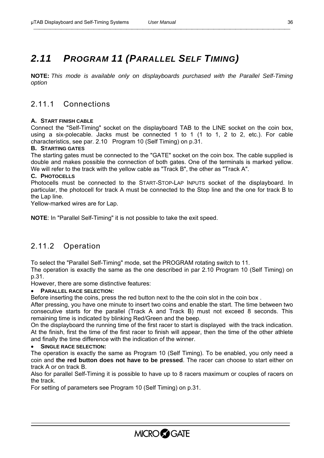## <span id="page-35-1"></span><span id="page-35-0"></span>*2.11 PROGRAM 11 (PARALLEL SELF TIMING)*

**NOTE:** *This mode is available only on displayboards purchased with the Parallel Self-Timing option*

#### 2.11.1 Connections

#### **A. START FINISH CABLE**

Connect the "Self-Timing" socket on the displayboard TAB to the LINE socket on the coin box, using a six-polecable. Jacks must be connected 1 to 1 (1 to 1, 2 to 2, etc.). For cable characteristics, see par. 2.10 [Program 10 \(Self Timing\)](#page-29-1) on p.31.

#### **B. STARTING GATES**

The starting gates must be connected to the "GATE" socket on the coin box. The cable supplied is double and makes possible the connection of both gates. One of the terminals is marked yellow. We will refer to the track with the yellow cable as "Track B", the other as "Track A".

#### **C. PHOTOCELLS**

Photocells must be connected to the START-STOP-LAP INPUTS socket of the displayboard. In particular, the photocell for track A must be connected to the Stop line and the one for track B to the Lap line.

Yellow-marked wires are for Lap.

**NOTE**: In "Parallel Self-Timing" it is not possible to take the exit speed.

#### 2.11.2 Operation

To select the "Parallel Self-Timing" mode, set the PROGRAM rotating switch to 11.

The operation is exactly the same as the one described in par 2.10 [Program 10 \(Self Timing\)](#page-29-1) on p.31.

However, there are some distinctive features:

#### • **PARALLEL RACE SELECTION:**

Before inserting the coins, press the red button next to the the coin slot in the coin box .

After pressing, you have one minute to insert two coins and enable the start. The time between two consecutive starts for the parallel (Track A and Track B) must not exceed 8 seconds. This remaining time is indicated by blinking Red/Green and the beep.

On the displayboard the running time of the first racer to start is displayed with the track indication. At the finish, first the time of the first racer to finish will appear, then the time of the other athlete and finally the time difference with the indication of the winner.

#### • **SINGLE RACE SELECTION:**

The operation is exactly the same as [Program 10 \(Self Timing\).](#page-29-1) To be enabled, you only need a coin and **the red button does not have to be pressed**. The racer can choose to start either on track A or on track B.

Also for parallel Self-Timing it is possible to have up to 8 racers maximum or couples of racers on the track.

For setting of parameters see [Program 10 \(Self Timing\)](#page-29-1) on p.31.

**MICROCOGATE**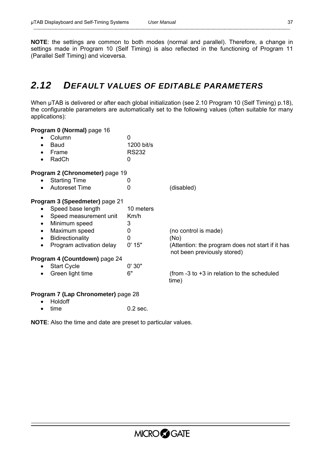<span id="page-36-0"></span>**NOTE**: the settings are common to both modes (normal and parallel). Therefore, a change in settings made in [Program 10 \(Self Timing\)](#page-29-1) is also reflected in the functioning of [Program 11](#page-35-1)  [\(Parallel Self Timing\)](#page-35-1) and viceversa.

## *2.12 DEFAULT VALUES OF EDITABLE PARAMETERS*

When µTAB is delivered or after each global initialization (see [2.10](#page-29-1) [Program 10 \(Self Timing\)](#page-29-1) p.18), the configurable parameters are automatically set to the following values (often suitable for many applications):

#### **[Program 0 \(Normal\)](#page-15-1)** page [16](#page-15-1)

|           | Column                                         | 0            |                                                                                 |
|-----------|------------------------------------------------|--------------|---------------------------------------------------------------------------------|
|           | <b>Baud</b>                                    | 1200 bit/s   |                                                                                 |
|           | Frame                                          | <b>RS232</b> |                                                                                 |
|           | RadCh                                          | 0            |                                                                                 |
|           | Program 2 (Chronometer) page 19                |              |                                                                                 |
| $\bullet$ | <b>Starting Time</b>                           | 0            |                                                                                 |
| $\bullet$ | <b>Autoreset Time</b>                          | 0            | (disabled)                                                                      |
|           | Program 3 (Speedmeter) page 21                 |              |                                                                                 |
| $\bullet$ | Speed base length                              | 10 meters    |                                                                                 |
| $\bullet$ | Speed measurement unit                         | Km/h         |                                                                                 |
| $\bullet$ | Minimum speed                                  | 3            |                                                                                 |
| $\bullet$ | Maximum speed                                  | 0            | (no control is made)                                                            |
| $\bullet$ | <b>Bidirectionality</b>                        | 0            | (No)                                                                            |
| $\bullet$ | Program activation delay                       | 0' 15"       | (Attention: the program does not start if it has<br>not been previously stored) |
|           | Program 4 (Countdown) page 24                  |              |                                                                                 |
|           | <b>Start Cycle</b>                             | 0'30"        |                                                                                 |
| $\bullet$ | Green light time                               | 6"           | (from $-3$ to $+3$ in relation to the scheduled<br>time)                        |
|           | Program 7 (Lap Chronometer) page 28<br>Holdoff |              |                                                                                 |
|           |                                                | 0.0.00       |                                                                                 |

• time 0.2 sec.

**NOTE**: Also the time and date are preset to particular values.



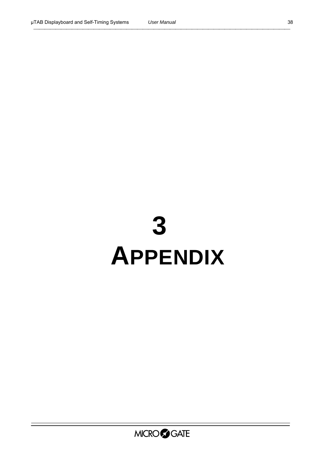## <span id="page-37-0"></span>**3 APPENDIX**

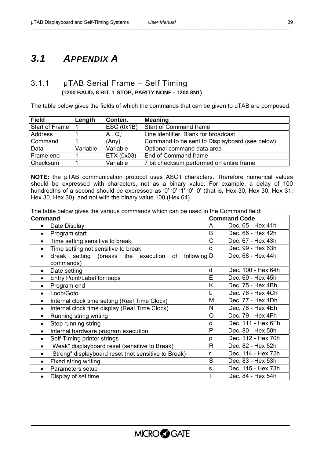### <span id="page-38-0"></span>*3.1 APPENDIX A*

#### <span id="page-38-1"></span>3.1.1 µTAB Serial Frame – Self Timing **(1200 BAUD, 8 BIT, 1 STOP, PARITY NONE - 1200 8N1)**

The table below gives the fields of which the commands that can be given to uTAB are composed.

| <b>Field</b>   | Length   | Conten.             | <b>Meaning</b>                                 |  |
|----------------|----------|---------------------|------------------------------------------------|--|
| Start of Frame |          | $\text{ESC}$ (0x1B) | Start of Command frame                         |  |
| Address        |          | AQ,''               | Line identifier, Blank for broadcast           |  |
| Command        |          | (Any)               | Command to be sent to Displayboard (see below) |  |
| Data           | Variable | Variable            | Optional command data area                     |  |
| Frame end      |          | ETX (0x03)          | End of Command frame                           |  |
| Checksum       |          | Variable            | 7 bit checksum performed on entire frame       |  |

**NOTE:** the µTAB communication protocol uses ASCII characters. Therefore numerical values should be expressed with characters, not as a binary value. For example, a delay of 100 hundredths of a second should be expressed as '0' '0' '1' '0' '0' (that is, Hex 30, Hex 30, Hex 31, Hex 30, Hex 30), and not with the binary value 100 (Hex 64).

The table below gives the various commands which can be used in the Command field:

| <b>Command</b>                                                                  | <b>Command Code</b> |  |
|---------------------------------------------------------------------------------|---------------------|--|
| Date Display                                                                    | Dec. 65 - Hex 41h   |  |
| $\bullet$                                                                       | Α                   |  |
| Program start                                                                   | B                   |  |
| $\bullet$                                                                       | Dec. 66 - Hex 42h   |  |
| Time setting sensitive to break                                                 | С                   |  |
| $\bullet$                                                                       | Dec. 67 - Hex 43h   |  |
| Time setting not sensitive to break                                             | Dec. 99 - Hex 63h   |  |
| $\bullet$                                                                       | C                   |  |
| following D<br>Break setting (breaks the execution of<br>$\bullet$<br>commands) | Dec. 68 - Hex 44h   |  |
| Date setting                                                                    | Dec. 100 - Hex 64h  |  |
| $\bullet$                                                                       | d                   |  |
| Entry Point/Label for loops                                                     | E                   |  |
| $\bullet$                                                                       | Dec. 69 - Hex 45h   |  |
| Program end                                                                     | K                   |  |
| $\bullet$                                                                       | Dec. 75 - Hex 4Bh   |  |
| Loop/Goto<br>$\bullet$                                                          | Dec. 76 - Hex 4Ch   |  |
| Internal clock time setting (Real Time Clock)                                   | Dec. 77 - Hex 4Dh   |  |
| $\bullet$                                                                       | M                   |  |
| Internal clock time display (Real Time Clock)                                   | N                   |  |
| $\bullet$                                                                       | Dec. 78 - Hex 4Eh   |  |
| Running string writing                                                          | O                   |  |
| $\bullet$                                                                       | Dec. 79 - Hex 4Fh   |  |
| Stop running string                                                             | Dec. 111 - Hex 6Fh  |  |
| $\bullet$                                                                       | о                   |  |
| Internal hardware program execution                                             | P                   |  |
| $\bullet$                                                                       | Dec. 80 - Hex 50h   |  |
| Self-Timing printer strings                                                     | Dec. 112 - Hex 70h  |  |
| $\bullet$                                                                       | р                   |  |
| "Weak" displayboard reset (sensitive to Break)                                  | R                   |  |
| $\bullet$                                                                       | Dec. 82 - Hex 52h   |  |
| "Strong" displayboard reset (not sensitive to Break)<br>$\bullet$               | Dec. 114 - Hex 72h  |  |
| Fixed string writing                                                            | S                   |  |
| $\bullet$                                                                       | Dec. 83 - Hex 53h   |  |
| Parameters setup                                                                | Dec. 115 - Hex 73h  |  |
| $\bullet$                                                                       | $\mathbf s$         |  |
| Display of set time                                                             | Dec. 84 - Hex 54h   |  |

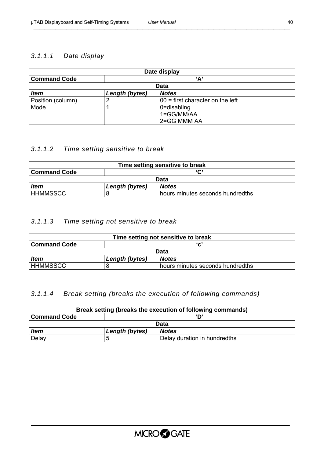#### <span id="page-39-1"></span><span id="page-39-0"></span>*3.1.1.1 Date display*

|                     |                | Date display                       |  |
|---------------------|----------------|------------------------------------|--|
| <b>Command Code</b> |                | 'А'                                |  |
| Data                |                |                                    |  |
| <b>Item</b>         | Length (bytes) | <b>Notes</b>                       |  |
| Position (column)   |                | $00 =$ first character on the left |  |
| Mode                |                | 0=disabling                        |  |
|                     |                | 1=GG/MM/AA                         |  |
|                     |                | 2=GG MMM AA                        |  |

#### <span id="page-39-2"></span>*3.1.1.2 Time setting sensitive to break*

| Time setting sensitive to break               |        |                                  |  |
|-----------------------------------------------|--------|----------------------------------|--|
| <b>Command Code</b>                           | $\sim$ |                                  |  |
| Data                                          |        |                                  |  |
| Length (bytes)<br><b>Notes</b><br><i>Item</i> |        |                                  |  |
| <b>HHMMSSCC</b>                               |        | hours minutes seconds hundredths |  |

#### <span id="page-39-3"></span>*3.1.1.3 Time setting not sensitive to break*

| Time setting not sensitive to break |                |                                  |  |
|-------------------------------------|----------------|----------------------------------|--|
| <b>Command Code</b>                 | ּ״             |                                  |  |
| Data                                |                |                                  |  |
| <i>Item</i>                         | Length (bytes) | <b>Notes</b>                     |  |
| HHMMSSCC                            |                | hours minutes seconds hundredths |  |

#### <span id="page-39-4"></span>*3.1.1.4 Break setting (breaks the execution of following commands)*

| Break setting (breaks the execution of following commands) |                |                              |  |
|------------------------------------------------------------|----------------|------------------------------|--|
| <b>Command Code</b>                                        | ּחי            |                              |  |
| Data                                                       |                |                              |  |
| <b>Item</b>                                                | Length (bytes) | <b>Notes</b>                 |  |
| Delay                                                      |                | Delay duration in hundredths |  |

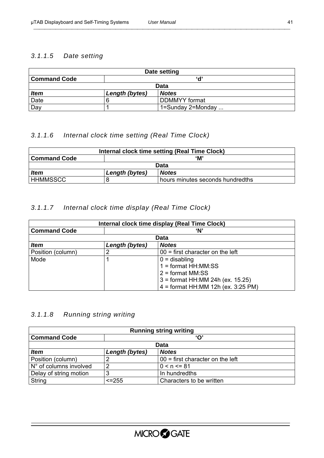#### <span id="page-40-1"></span><span id="page-40-0"></span>*3.1.1.5 Date setting*

| Date setting        |                |                      |  |
|---------------------|----------------|----------------------|--|
| <b>Command Code</b> |                | ď                    |  |
| Data                |                |                      |  |
| <b>Item</b>         | Length (bytes) | <b>Notes</b>         |  |
| Date                |                | <b>DDMMYY</b> format |  |
| Day                 |                | 1=Sunday 2=Monday    |  |

#### <span id="page-40-2"></span>*3.1.1.6 Internal clock time setting (Real Time Clock)*

| Internal clock time setting (Real Time Clock) |     |                                  |  |
|-----------------------------------------------|-----|----------------------------------|--|
| <b>Command Code</b>                           | ʻM' |                                  |  |
| Data                                          |     |                                  |  |
| Length (bytes)<br><b>Notes</b><br><i>Item</i> |     |                                  |  |
| HHMMSSCC                                      |     | hours minutes seconds hundredths |  |

### <span id="page-40-3"></span>*3.1.1.7 Internal clock time display (Real Time Clock)*

| Internal clock time display (Real Time Clock) |                |                                      |  |
|-----------------------------------------------|----------------|--------------------------------------|--|
| <b>Command Code</b>                           | 'N'            |                                      |  |
|                                               | Data           |                                      |  |
| <b>Item</b>                                   | Length (bytes) | <b>Notes</b>                         |  |
| Position (column)                             |                | $00 =$ first character on the left   |  |
| Mode                                          |                | $0 =$ disabling                      |  |
|                                               |                | $1 =$ format HH:MM:SS                |  |
|                                               |                | $2 =$ format MM:SS                   |  |
|                                               |                | 3 = format HH:MM 24h (ex. 15.25)     |  |
|                                               |                | $4 =$ format HH:MM 12h (ex. 3:25 PM) |  |

#### <span id="page-40-4"></span>*3.1.1.8 Running string writing*

| <b>Running string writing</b> |                |                                    |  |
|-------------------------------|----------------|------------------------------------|--|
| <b>Command Code</b>           | '∩'            |                                    |  |
| Data                          |                |                                    |  |
| <b>Item</b>                   | Length (bytes) | <b>Notes</b>                       |  |
| Position (column)             |                | $00 =$ first character on the left |  |
| N° of columns involved        |                | $0 < n \leq 81$                    |  |
| Delay of string motion        |                | In hundredths                      |  |
| String                        | $<=255$        | Characters to be written           |  |

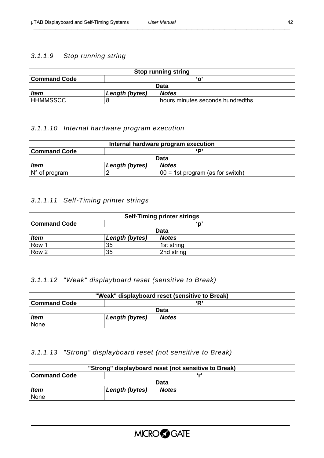#### <span id="page-41-1"></span><span id="page-41-0"></span>*3.1.1.9 Stop running string*

| <b>Stop running string</b> |                |                                  |  |
|----------------------------|----------------|----------------------------------|--|
| <b>Command Code</b>        | '∩'            |                                  |  |
| Data                       |                |                                  |  |
| <i>Item</i>                | Length (bytes) | <b>Notes</b>                     |  |
| <b>HHMMSSCC</b>            |                | hours minutes seconds hundredths |  |

#### <span id="page-41-2"></span>*3.1.1.10 Internal hardware program execution*

| Internal hardware program execution           |     |                                     |
|-----------------------------------------------|-----|-------------------------------------|
| <b>Command Code</b>                           | יםי |                                     |
| Data                                          |     |                                     |
| Length (bytes)<br><b>Notes</b><br><i>Item</i> |     |                                     |
| $\sqrt{N^{\circ}}$ of program                 |     | $00 = 1$ st program (as for switch) |

#### <span id="page-41-3"></span>*3.1.1.11 Self-Timing printer strings*

| <b>Self-Timing printer strings</b> |                |              |  |
|------------------------------------|----------------|--------------|--|
| <b>Command Code</b>                |                |              |  |
| <b>Data</b>                        |                |              |  |
| <b>Item</b>                        | Length (bytes) | <b>Notes</b> |  |
| Row 1                              | 35             | 1st string   |  |
| Row <sub>2</sub>                   | 35             | 2nd string   |  |

#### <span id="page-41-4"></span>*3.1.1.12 "Weak" displayboard reset (sensitive to Break)*

| "Weak" displayboard reset (sensitive to Break) |  |  |  |
|------------------------------------------------|--|--|--|
| <b>Command Code</b><br>' د '                   |  |  |  |
| Data                                           |  |  |  |
| Length (bytes)<br><b>Item</b><br><b>Notes</b>  |  |  |  |
| None                                           |  |  |  |

#### <span id="page-41-5"></span>*3.1.1.13 "Strong" displayboard reset (not sensitive to Break)*

| "Strong" displayboard reset (not sensitive to Break) |  |  |  |
|------------------------------------------------------|--|--|--|
| <b>Command Code</b><br>د                             |  |  |  |
| Data                                                 |  |  |  |
| Length (bytes)<br><b>Item</b><br><b>Notes</b>        |  |  |  |
| None                                                 |  |  |  |

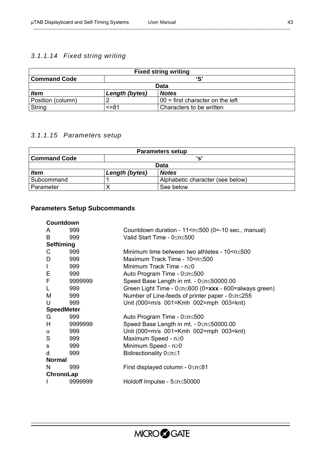#### <span id="page-42-1"></span><span id="page-42-0"></span>*3.1.1.14 Fixed string writing*

| <b>Fixed string writing</b>                   |      |                                    |  |
|-----------------------------------------------|------|------------------------------------|--|
| <b>Command Code</b>                           | ۰ς,  |                                    |  |
| Data                                          |      |                                    |  |
| Length (bytes)<br><b>Notes</b><br><b>Item</b> |      |                                    |  |
| Position (column)                             |      | $00 =$ first character on the left |  |
| String                                        | <=81 | Characters to be written           |  |

#### <span id="page-42-2"></span>*3.1.1.15 Parameters setup*

| <b>Parameters setup</b>                |    |                                  |  |
|----------------------------------------|----|----------------------------------|--|
| <b>Command Code</b>                    | 'c |                                  |  |
| Data                                   |    |                                  |  |
| Length (bytes)<br>Item<br><b>Notes</b> |    |                                  |  |
| Subcommand                             |    | Alphabetic character (see below) |  |
| l Parameter                            |    | See below                        |  |

#### **Parameters Setup Subcommands**

| Countdown         |         |                                                                 |  |  |
|-------------------|---------|-----------------------------------------------------------------|--|--|
| A                 | 999     | Countdown duration - $11 \le n \le 500$ (0=-10 sec., manual)    |  |  |
| B                 | 999     | Valid Start Time - 0≤n≤500                                      |  |  |
| <b>Selftiming</b> |         |                                                                 |  |  |
| C                 | 999     | Minimum time between two athletes - $10 < n \leq 500$           |  |  |
| D                 | 999     | Maximum Track Time - 10 <n≤500< td=""></n≤500<>                 |  |  |
| L                 | 999     | Minimum Track Time - $n \geq 0$                                 |  |  |
| Е                 | 999     | Auto Program Time - 0≤n≤500                                     |  |  |
| F                 | 9999999 | Speed Base Length in mt. - 0≤n≤50000.00                         |  |  |
|                   | 999     | Green Light Time - $0 \le n \le 600$ (0=xxx - 600=always green) |  |  |
| M                 | 999     | Number of Line-feeds of printer paper - 0≤n≤255                 |  |  |
| U                 | 999     | Unit (000=m/s 001=Kmh 002=mph 003=knt)                          |  |  |
| <b>SpeedMeter</b> |         |                                                                 |  |  |
| G                 | 999     | Auto Program Time - 0≤n≤500                                     |  |  |
| H.                | 9999999 | Speed Base Length in mt. - 0≤n≤50000.00                         |  |  |
| u                 | 999     | Unit (000=m/s 001=Kmh 002=mph 003=knt)                          |  |  |
| S                 | 999     | Maximum Speed - n≥0                                             |  |  |
| S                 | 999     | Minimum Speed - n≥0                                             |  |  |
| d                 | 999     | Bidirectionality 0≤n≤1                                          |  |  |
| <b>Normal</b>     |         |                                                                 |  |  |
| N                 | 999     | First displayed column - 0≤n≤81                                 |  |  |
| ChronoLap         |         |                                                                 |  |  |
|                   | 9999999 | Holdoff Impulse - 5≤n≤50000                                     |  |  |
|                   |         |                                                                 |  |  |

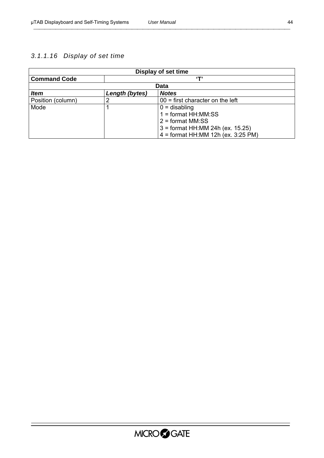#### <span id="page-43-1"></span><span id="page-43-0"></span>*3.1.1.16 Display of set time*

| Display of set time |                |                                      |  |  |
|---------------------|----------------|--------------------------------------|--|--|
| <b>Command Code</b> | "т'            |                                      |  |  |
|                     | <b>Data</b>    |                                      |  |  |
| <b>Item</b>         | Length (bytes) | <b>Notes</b>                         |  |  |
| Position (column)   |                | $00 =$ first character on the left   |  |  |
| Mode                |                | $0 =$ disabling                      |  |  |
|                     |                | $1 =$ format HH:MM:SS                |  |  |
|                     |                | $2 =$ format MM:SS                   |  |  |
|                     |                | 3 = format HH:MM 24h (ex. 15.25)     |  |  |
|                     |                | $4 =$ format HH:MM 12h (ex. 3:25 PM) |  |  |

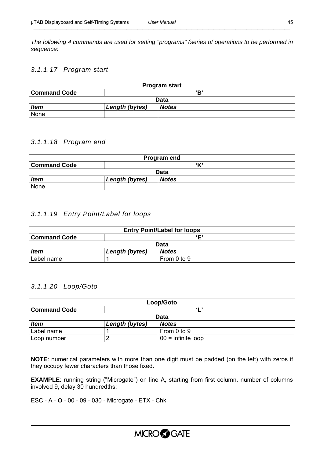<span id="page-44-0"></span>*The following 4 commands are used for setting "programs" (series of operations to be performed in sequence:* 

#### <span id="page-44-1"></span>*3.1.1.17 Program start*

| <b>Program start</b> |                |              |  |
|----------------------|----------------|--------------|--|
| <b>Command Code</b>  |                | 'B'          |  |
| <b>Data</b>          |                |              |  |
| <b>Item</b>          | Length (bytes) | <b>Notes</b> |  |
| None                 |                |              |  |

#### <span id="page-44-3"></span>*3.1.1.18 Program end*

| Program end         |                |              |  |
|---------------------|----------------|--------------|--|
| <b>Command Code</b> |                | $\mathbf{v}$ |  |
| Data                |                |              |  |
| <b>Item</b>         | Length (bytes) | <b>Notes</b> |  |
| None                |                |              |  |

#### <span id="page-44-2"></span>*3.1.1.19 Entry Point/Label for loops*

| <b>Entry Point/Label for loops</b>            |  |             |  |
|-----------------------------------------------|--|-------------|--|
| <b>Command Code</b>                           |  | ٠Ε,         |  |
| Data                                          |  |             |  |
| Length (bytes)<br><b>Notes</b><br><i>Item</i> |  |             |  |
| Label name                                    |  | From 0 to 9 |  |

#### <span id="page-44-4"></span>*3.1.1.20 Loop/Goto*

| Loop/Goto                                     |  |                      |  |
|-----------------------------------------------|--|----------------------|--|
| <b>Command Code</b>                           |  |                      |  |
| Data                                          |  |                      |  |
| Length (bytes)<br><b>Notes</b><br><i>Item</i> |  |                      |  |
| Label name                                    |  | From 0 to 9          |  |
| Loop number                                   |  | $00 =$ infinite loop |  |

**NOTE**: numerical parameters with more than one digit must be padded (on the left) with zeros if they occupy fewer characters than those fixed.

**EXAMPLE**: running string ("Microgate") on line A, starting from first column, number of columns involved 9, delay 30 hundredths:

ESC - A - **O** - 00 - 09 - 030 - Microgate - ETX - Chk

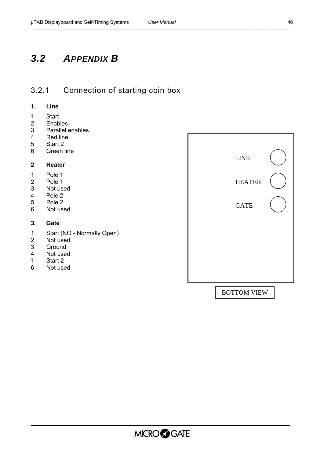## <span id="page-45-0"></span>*3.2 APPENDIX B*

#### 3.2.1 Connection of starting coin box

#### **1. Line**

- 1 Start
- 2 Enables
- 3 Parallel enables
- 4 Red line
- 5 Start 2
- 6 Green line

#### **2 Heater**

- 1 Pole 1
- 2 Pole 1
- 3 Not used
- 4 Pole 2
- 5 Pole 2
- 6 Not used

#### **3. Gate**

- 1 Start (NO Normally Open)
- 2 Not used
- 3 Ground
- 4 Not used
- 1 Start 2
- 6 Not used



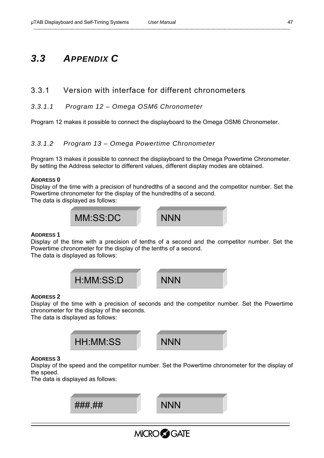### <span id="page-46-0"></span>*3.3 APPENDIX C*

#### 3.3.1 Version with interface for different chronometers

#### *3.3.1.1 Program 12 – Omega OSM6 Chronometer*

Program 12 makes it possible to connect the displayboard to the Omega OSM6 Chronometer.

#### <span id="page-46-1"></span>*3.3.1.2 Program 13 – Omega Powertime Chronometer*

Program 13 makes it possible to connect the displayboard to the Omega Powertime Chronometer. By setting the Address selector to different values, different display modes are obtained.

#### **ADDRESS 0**

Display of the time with a precision of hundredths of a second and the competitor number. Set the Powertime chronometer for the display of the hundredths of a second. The data is displayed as follows:



#### **ADDRESS 1**

Display of the time with a precision of tenths of a second and the competitor number. Set the Powertime chronometer for the display of the tenths of a second.

The data is displayed as follows:



#### **ADDRESS 2**

Display of the time with a precision of seconds and the competitor number. Set the Powertime chronometer for the display of the seconds.

The data is displayed as follows:





#### **ADDRESS 3**

Display of the speed and the competitor number. Set the Powertime chronometer for the display of the speed.

The data is displayed as follows:

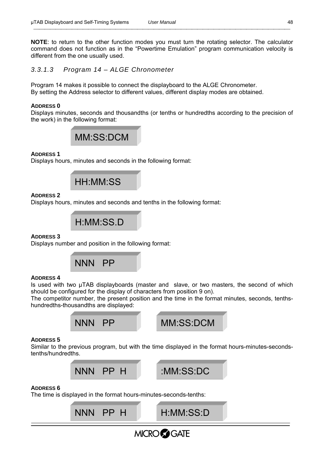**NOTE**: to return to the other function modes you must turn the rotating selector. The calculator command does not function as in the "Powertime Emulation" program communication velocity is different from the one usually used.

<span id="page-47-0"></span>⎯⎯⎯⎯⎯⎯⎯⎯⎯⎯⎯⎯⎯⎯⎯⎯⎯⎯⎯⎯⎯⎯⎯⎯⎯⎯⎯⎯⎯⎯⎯⎯⎯⎯⎯⎯⎯⎯⎯⎯⎯⎯⎯⎯⎯⎯⎯

#### <span id="page-47-1"></span>*3.3.1.3 Program 14 – ALGE Chronometer*

Program 14 makes it possible to connect the displayboard to the ALGE Chronometer. By setting the Address selector to different values, different display modes are obtained.

#### **ADDRESS 0**

Displays minutes, seconds and thousandths (or tenths or hundredths according to the precision of the work) in the following format:

MM:SS:DCM

#### **ADDRESS 1**

Displays hours, minutes and seconds in the following format:



#### **ADDRESS 2**

Displays hours, minutes and seconds and tenths in the following format:



#### **ADDRESS 3**

Displays number and position in the following format:



#### **ADDRESS 4**

Is used with two µTAB displayboards (master and slave, or two masters, the second of which should be configured for the display of characters from position 9 on).

The competitor number, the present position and the time in the format minutes, seconds, tenthshundredths-thousandths are displayed:



#### **ADDRESS 5**

Similar to the previous program, but with the time displayed in the format hours-minutes-secondstenths/hundredths.



#### **ADDRESS 6**

The time is displayed in the format hours-minutes-seconds-tenths:



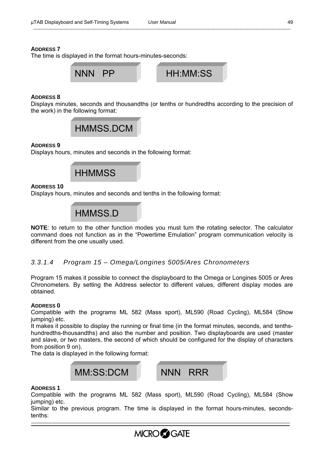#### <span id="page-48-0"></span>**ADDRESS 7**

The time is displayed in the format hours-minutes-seconds:



#### **ADDRESS 8**

Displays minutes, seconds and thousandths (or tenths or hundredths according to the precision of the work) in the following format:



#### **ADDRESS 9**

Displays hours, minutes and seconds in the following format:



#### **ADDRESS 10**

Displays hours, minutes and seconds and tenths in the following format:



**NOTE**: to return to the other function modes you must turn the rotating selector. The calculator command does not function as in the "Powertime Emulation" program communication velocity is different from the one usually used.

#### <span id="page-48-1"></span>*3.3.1.4 Program 15 – Omega/Longines 5005/Ares Chronometers*

Program 15 makes it possible to connect the displayboard to the Omega or Longines 5005 or Ares Chronometers. By setting the Address selector to different values, different display modes are obtained.

#### **ADDRESS 0**

Compatible with the programs ML 582 (Mass sport), ML590 (Road Cycling), ML584 (Show jumping) etc.

It makes it possible to display the running or final time (in the format minutes, seconds, and tenthshundredths-thousandths) and also the number and position. Two displayboards are used (master and slave, or two masters, the second of which should be configured for the display of characters from position 9 on).

The data is displayed in the following format:





#### **ADDRESS 1**

Compatible with the programs ML 582 (Mass sport), ML590 (Road Cycling), ML584 (Show jumping) etc.

Similar to the previous program. The time is displayed in the format hours-minutes, secondstenths:

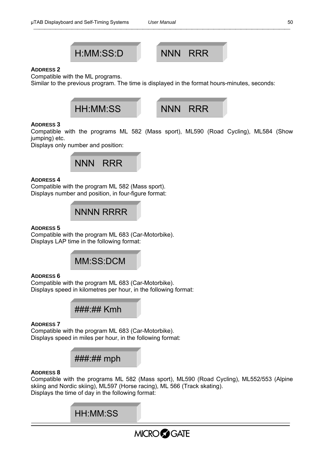

#### **ADDRESS 2**

Compatible with the ML programs.

Similar to the previous program. The time is displayed in the format hours-minutes, seconds:



#### **ADDRESS 3**

Compatible with the programs ML 582 (Mass sport), ML590 (Road Cycling), ML584 (Show jumping) etc.

Displays only number and position:



#### **ADDRESS 4**

Compatible with the program ML 582 (Mass sport). Displays number and position, in four-figure format:

### NNNN RRRR

#### **ADDRESS 5**

Compatible with the program ML 683 (Car-Motorbike). Displays LAP time in the following format:



#### **ADDRESS 6**

Compatible with the program ML 683 (Car-Motorbike). Displays speed in kilometres per hour, in the following format:



#### **ADDRESS 7**

Compatible with the program ML 683 (Car-Motorbike). Displays speed in miles per hour, in the following format:



#### **ADDRESS 8**

Compatible with the programs ML 582 (Mass sport), ML590 (Road Cycling), ML552/553 (Alpine skiing and Nordic skiing), ML597 (Horse racing), ML 566 (Track skating). Displays the time of day in the following format:

HH:MM:SS

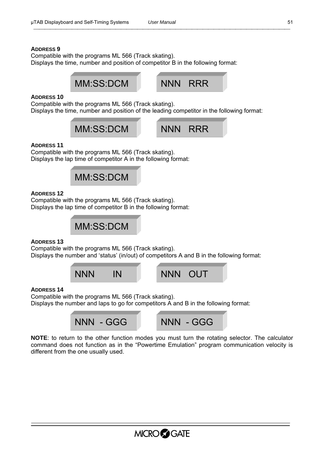#### **ADDRESS 9**

Compatible with the programs ML 566 (Track skating). Displays the time, number and position of competitor B in the following format:



#### **ADDRESS 10**

Compatible with the programs ML 566 (Track skating). Displays the time, number and position of the leading competitor in the following format:

MM:SS:DCM NNN RRR



#### **ADDRESS 11**

Compatible with the programs ML 566 (Track skating). Displays the lap time of competitor A in the following format:



#### **ADDRESS 12**

Compatible with the programs ML 566 (Track skating). Displays the lap time of competitor B in the following format:



#### **ADDRESS 13**

Compatible with the programs ML 566 (Track skating). Displays the number and 'status' (in/out) of competitors A and B in the following format:





#### **ADDRESS 14**

Compatible with the programs ML 566 (Track skating). Displays the number and laps to go for competitors A and B in the following format:



**NOTE**: to return to the other function modes you must turn the rotating selector. The calculator command does not function as in the "Powertime Emulation" program communication velocity is different from the one usually used.

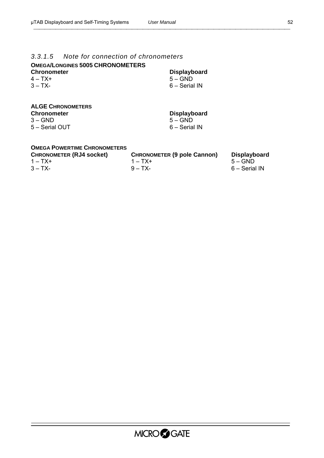#### <span id="page-51-0"></span>*3.3.1.5 Note for connection of chronometers*

| <b>OMEGA/LONGINES 5005 CHRONOMETERS</b> |                     |
|-----------------------------------------|---------------------|
| <b>Chronometer</b>                      | <b>Displayboard</b> |
| $4 - TX+$                               | $5 - GND$           |
| $3 - TX$                                | $6 -$ Serial IN     |
|                                         |                     |
| <b>ALGE CHRONOMETERS</b>                |                     |

| Chronometer    | <b>Displayboard</b> |
|----------------|---------------------|
| 3 – GND        | $5 - GND$           |
| 5 – Serial OUT | 6 – Serial IN       |

#### **OMEGA POWERTIME CHRONOMETERS**

| <b>CHRONOMETER (RJ4 socket)</b> | <b>CHRONOMETER (9 pole Cannon)</b> | <b>Displayboard</b> |
|---------------------------------|------------------------------------|---------------------|
| $1 - TX+$                       | $1 - TX +$                         | $5 - GND$           |
| $3 - TX-$                       | $9 - TX$                           | 6 – Serial IN       |

## MICRO **S**GATE